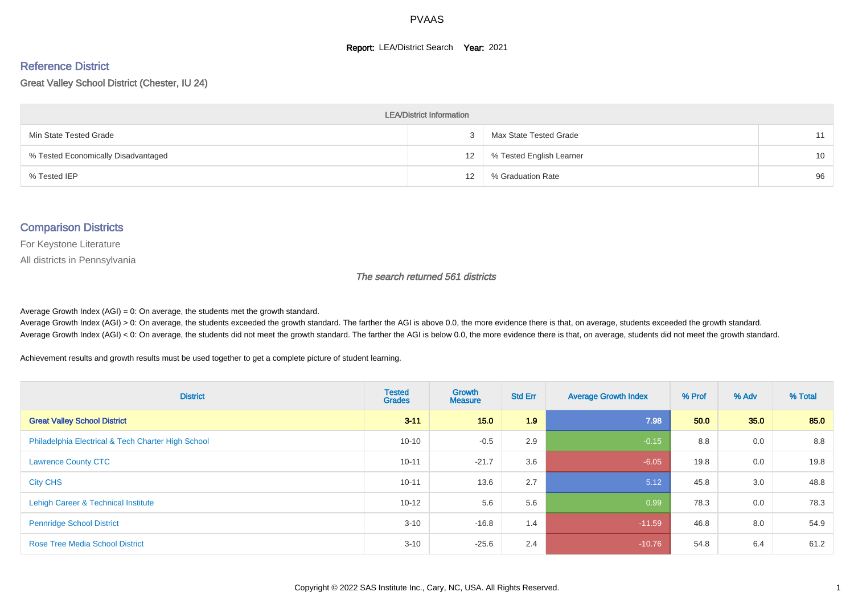#### **Report: LEA/District Search Year: 2021**

# Reference District

Great Valley School District (Chester, IU 24)

| <b>LEA/District Information</b>     |    |                          |                 |  |  |  |  |  |  |  |
|-------------------------------------|----|--------------------------|-----------------|--|--|--|--|--|--|--|
| Min State Tested Grade              |    | Max State Tested Grade   | 11              |  |  |  |  |  |  |  |
| % Tested Economically Disadvantaged | 12 | % Tested English Learner | 10 <sup>1</sup> |  |  |  |  |  |  |  |
| % Tested IEP                        | 12 | % Graduation Rate        | 96              |  |  |  |  |  |  |  |

#### Comparison Districts

For Keystone Literature

All districts in Pennsylvania

The search returned 561 districts

Average Growth Index  $(AGI) = 0$ : On average, the students met the growth standard.

Average Growth Index (AGI) > 0: On average, the students exceeded the growth standard. The farther the AGI is above 0.0, the more evidence there is that, on average, students exceeded the growth standard. Average Growth Index (AGI) < 0: On average, the students did not meet the growth standard. The farther the AGI is below 0.0, the more evidence there is that, on average, students did not meet the growth standard.

Achievement results and growth results must be used together to get a complete picture of student learning.

| <b>District</b>                                    | <b>Tested</b><br><b>Grades</b> | <b>Growth</b><br><b>Measure</b> | <b>Std Err</b> | <b>Average Growth Index</b> | % Prof | % Adv | % Total |
|----------------------------------------------------|--------------------------------|---------------------------------|----------------|-----------------------------|--------|-------|---------|
| <b>Great Valley School District</b>                | $3 - 11$                       | 15.0                            | 1.9            | 7.98                        | 50.0   | 35.0  | 85.0    |
| Philadelphia Electrical & Tech Charter High School | $10 - 10$                      | $-0.5$                          | 2.9            | $-0.15$                     | 8.8    | 0.0   | 8.8     |
| <b>Lawrence County CTC</b>                         | $10 - 11$                      | $-21.7$                         | 3.6            | $-6.05$                     | 19.8   | 0.0   | 19.8    |
| <b>City CHS</b>                                    | $10 - 11$                      | 13.6                            | 2.7            | 5.12                        | 45.8   | 3.0   | 48.8    |
| Lehigh Career & Technical Institute                | $10 - 12$                      | 5.6                             | 5.6            | 0.99                        | 78.3   | 0.0   | 78.3    |
| <b>Pennridge School District</b>                   | $3 - 10$                       | $-16.8$                         | 1.4            | $-11.59$                    | 46.8   | 8.0   | 54.9    |
| <b>Rose Tree Media School District</b>             | $3 - 10$                       | $-25.6$                         | 2.4            | $-10.76$                    | 54.8   | 6.4   | 61.2    |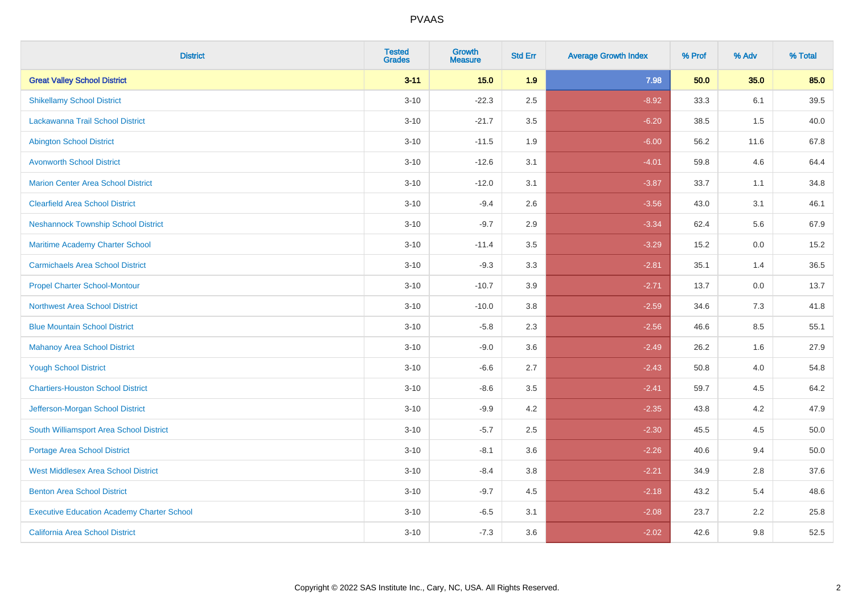| <b>District</b>                                   | <b>Tested</b><br><b>Grades</b> | <b>Growth</b><br><b>Measure</b> | <b>Std Err</b> | <b>Average Growth Index</b> | % Prof | % Adv | % Total |
|---------------------------------------------------|--------------------------------|---------------------------------|----------------|-----------------------------|--------|-------|---------|
| <b>Great Valley School District</b>               | $3 - 11$                       | 15.0                            | 1.9            | 7.98                        | 50.0   | 35.0  | 85.0    |
| <b>Shikellamy School District</b>                 | $3 - 10$                       | $-22.3$                         | 2.5            | $-8.92$                     | 33.3   | 6.1   | 39.5    |
| Lackawanna Trail School District                  | $3 - 10$                       | $-21.7$                         | 3.5            | $-6.20$                     | 38.5   | 1.5   | 40.0    |
| <b>Abington School District</b>                   | $3 - 10$                       | $-11.5$                         | 1.9            | $-6.00$                     | 56.2   | 11.6  | 67.8    |
| <b>Avonworth School District</b>                  | $3 - 10$                       | $-12.6$                         | 3.1            | $-4.01$                     | 59.8   | 4.6   | 64.4    |
| <b>Marion Center Area School District</b>         | $3 - 10$                       | $-12.0$                         | 3.1            | $-3.87$                     | 33.7   | 1.1   | 34.8    |
| <b>Clearfield Area School District</b>            | $3 - 10$                       | $-9.4$                          | 2.6            | $-3.56$                     | 43.0   | 3.1   | 46.1    |
| <b>Neshannock Township School District</b>        | $3 - 10$                       | $-9.7$                          | 2.9            | $-3.34$                     | 62.4   | 5.6   | 67.9    |
| Maritime Academy Charter School                   | $3 - 10$                       | $-11.4$                         | 3.5            | $-3.29$                     | 15.2   | 0.0   | 15.2    |
| <b>Carmichaels Area School District</b>           | $3 - 10$                       | $-9.3$                          | 3.3            | $-2.81$                     | 35.1   | 1.4   | 36.5    |
| <b>Propel Charter School-Montour</b>              | $3 - 10$                       | $-10.7$                         | 3.9            | $-2.71$                     | 13.7   | 0.0   | 13.7    |
| <b>Northwest Area School District</b>             | $3 - 10$                       | $-10.0$                         | 3.8            | $-2.59$                     | 34.6   | 7.3   | 41.8    |
| <b>Blue Mountain School District</b>              | $3 - 10$                       | $-5.8$                          | 2.3            | $-2.56$                     | 46.6   | 8.5   | 55.1    |
| <b>Mahanoy Area School District</b>               | $3 - 10$                       | $-9.0$                          | 3.6            | $-2.49$                     | 26.2   | 1.6   | 27.9    |
| <b>Yough School District</b>                      | $3 - 10$                       | $-6.6$                          | 2.7            | $-2.43$                     | 50.8   | 4.0   | 54.8    |
| <b>Chartiers-Houston School District</b>          | $3 - 10$                       | $-8.6$                          | 3.5            | $-2.41$                     | 59.7   | 4.5   | 64.2    |
| Jefferson-Morgan School District                  | $3 - 10$                       | $-9.9$                          | 4.2            | $-2.35$                     | 43.8   | 4.2   | 47.9    |
| South Williamsport Area School District           | $3 - 10$                       | $-5.7$                          | 2.5            | $-2.30$                     | 45.5   | 4.5   | 50.0    |
| <b>Portage Area School District</b>               | $3 - 10$                       | $-8.1$                          | 3.6            | $-2.26$                     | 40.6   | 9.4   | 50.0    |
| <b>West Middlesex Area School District</b>        | $3 - 10$                       | $-8.4$                          | 3.8            | $-2.21$                     | 34.9   | 2.8   | 37.6    |
| <b>Benton Area School District</b>                | $3 - 10$                       | $-9.7$                          | 4.5            | $-2.18$                     | 43.2   | 5.4   | 48.6    |
| <b>Executive Education Academy Charter School</b> | $3 - 10$                       | $-6.5$                          | 3.1            | $-2.08$                     | 23.7   | 2.2   | 25.8    |
| California Area School District                   | $3 - 10$                       | $-7.3$                          | 3.6            | $-2.02$                     | 42.6   | 9.8   | 52.5    |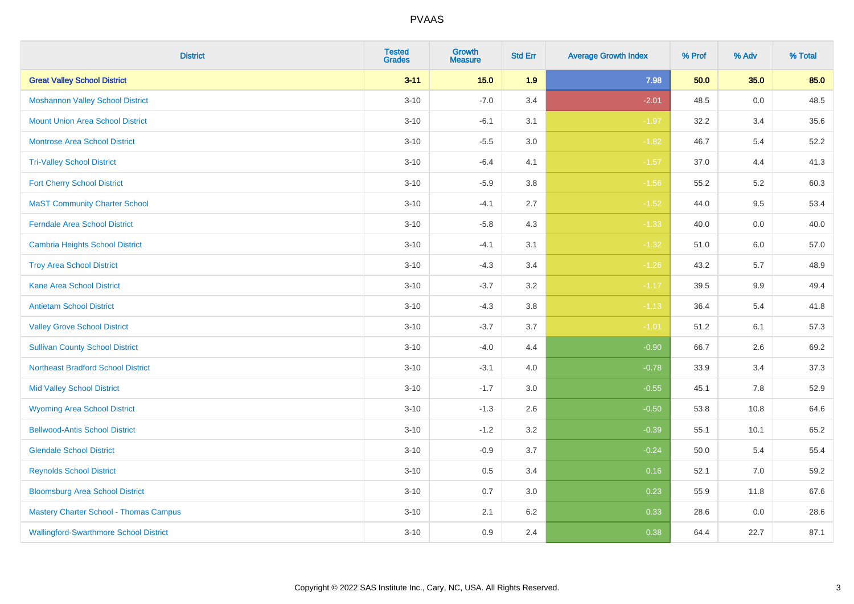| <b>District</b>                               | <b>Tested</b><br><b>Grades</b> | Growth<br><b>Measure</b> | <b>Std Err</b> | <b>Average Growth Index</b> | % Prof | % Adv   | % Total |
|-----------------------------------------------|--------------------------------|--------------------------|----------------|-----------------------------|--------|---------|---------|
| <b>Great Valley School District</b>           | $3 - 11$                       | $15.0$                   | 1.9            | 7.98                        | 50.0   | 35.0    | 85.0    |
| <b>Moshannon Valley School District</b>       | $3 - 10$                       | $-7.0$                   | 3.4            | $-2.01$                     | 48.5   | $0.0\,$ | 48.5    |
| <b>Mount Union Area School District</b>       | $3 - 10$                       | $-6.1$                   | 3.1            | $-1.97$                     | 32.2   | 3.4     | 35.6    |
| Montrose Area School District                 | $3 - 10$                       | $-5.5$                   | 3.0            | $-1.82$                     | 46.7   | $5.4$   | 52.2    |
| <b>Tri-Valley School District</b>             | $3 - 10$                       | $-6.4$                   | 4.1            | $-1.57$                     | 37.0   | 4.4     | 41.3    |
| <b>Fort Cherry School District</b>            | $3 - 10$                       | $-5.9$                   | 3.8            | $-1.56$                     | 55.2   | 5.2     | 60.3    |
| <b>MaST Community Charter School</b>          | $3 - 10$                       | $-4.1$                   | 2.7            | $-1.52$                     | 44.0   | 9.5     | 53.4    |
| <b>Ferndale Area School District</b>          | $3 - 10$                       | $-5.8$                   | 4.3            | $-1.33$                     | 40.0   | 0.0     | 40.0    |
| <b>Cambria Heights School District</b>        | $3 - 10$                       | $-4.1$                   | 3.1            | $-1.32$                     | 51.0   | 6.0     | 57.0    |
| <b>Troy Area School District</b>              | $3 - 10$                       | $-4.3$                   | 3.4            | $-1.26$                     | 43.2   | 5.7     | 48.9    |
| <b>Kane Area School District</b>              | $3 - 10$                       | $-3.7$                   | 3.2            | $-1.17$                     | 39.5   | 9.9     | 49.4    |
| <b>Antietam School District</b>               | $3 - 10$                       | $-4.3$                   | 3.8            | $-1.13$                     | 36.4   | 5.4     | 41.8    |
| <b>Valley Grove School District</b>           | $3 - 10$                       | $-3.7$                   | 3.7            | $-1.01$                     | 51.2   | 6.1     | 57.3    |
| <b>Sullivan County School District</b>        | $3 - 10$                       | $-4.0$                   | 4.4            | $-0.90$                     | 66.7   | 2.6     | 69.2    |
| <b>Northeast Bradford School District</b>     | $3 - 10$                       | $-3.1$                   | 4.0            | $-0.78$                     | 33.9   | 3.4     | 37.3    |
| <b>Mid Valley School District</b>             | $3 - 10$                       | $-1.7$                   | 3.0            | $-0.55$                     | 45.1   | 7.8     | 52.9    |
| <b>Wyoming Area School District</b>           | $3 - 10$                       | $-1.3$                   | 2.6            | $-0.50$                     | 53.8   | 10.8    | 64.6    |
| <b>Bellwood-Antis School District</b>         | $3 - 10$                       | $-1.2$                   | 3.2            | $-0.39$                     | 55.1   | 10.1    | 65.2    |
| <b>Glendale School District</b>               | $3 - 10$                       | $-0.9$                   | 3.7            | $-0.24$                     | 50.0   | 5.4     | 55.4    |
| <b>Reynolds School District</b>               | $3 - 10$                       | 0.5                      | 3.4            | 0.16                        | 52.1   | 7.0     | 59.2    |
| <b>Bloomsburg Area School District</b>        | $3 - 10$                       | 0.7                      | 3.0            | 0.23                        | 55.9   | 11.8    | 67.6    |
| <b>Mastery Charter School - Thomas Campus</b> | $3 - 10$                       | 2.1                      | 6.2            | 0.33                        | 28.6   | 0.0     | 28.6    |
| <b>Wallingford-Swarthmore School District</b> | $3 - 10$                       | 0.9                      | 2.4            | 0.38                        | 64.4   | 22.7    | 87.1    |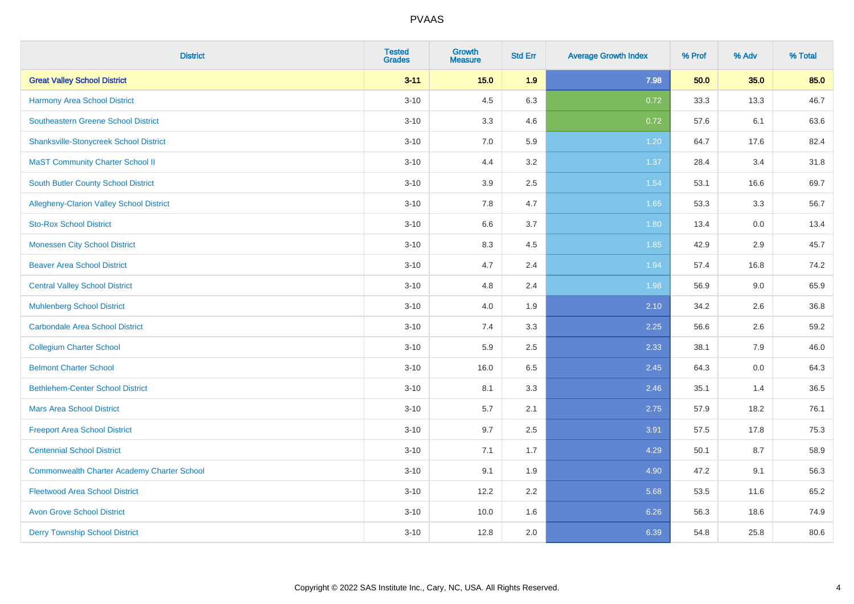| <b>District</b>                                    | <b>Tested</b><br><b>Grades</b> | <b>Growth</b><br><b>Measure</b> | <b>Std Err</b> | <b>Average Growth Index</b> | % Prof | % Adv | % Total |
|----------------------------------------------------|--------------------------------|---------------------------------|----------------|-----------------------------|--------|-------|---------|
| <b>Great Valley School District</b>                | $3 - 11$                       | $15.0$                          | 1.9            | 7.98                        | 50.0   | 35.0  | 85.0    |
| <b>Harmony Area School District</b>                | $3 - 10$                       | 4.5                             | 6.3            | 0.72                        | 33.3   | 13.3  | 46.7    |
| <b>Southeastern Greene School District</b>         | $3 - 10$                       | 3.3                             | 4.6            | 0.72                        | 57.6   | 6.1   | 63.6    |
| <b>Shanksville-Stonycreek School District</b>      | $3 - 10$                       | $7.0\,$                         | 5.9            | 1.20                        | 64.7   | 17.6  | 82.4    |
| <b>MaST Community Charter School II</b>            | $3 - 10$                       | 4.4                             | 3.2            | 1.37                        | 28.4   | 3.4   | 31.8    |
| <b>South Butler County School District</b>         | $3 - 10$                       | 3.9                             | 2.5            | 1.54                        | 53.1   | 16.6  | 69.7    |
| Allegheny-Clarion Valley School District           | $3 - 10$                       | 7.8                             | 4.7            | 1.65                        | 53.3   | 3.3   | 56.7    |
| <b>Sto-Rox School District</b>                     | $3 - 10$                       | 6.6                             | 3.7            | 1.80                        | 13.4   | 0.0   | 13.4    |
| <b>Monessen City School District</b>               | $3 - 10$                       | 8.3                             | 4.5            | 1.85                        | 42.9   | 2.9   | 45.7    |
| <b>Beaver Area School District</b>                 | $3 - 10$                       | 4.7                             | 2.4            | 1.94                        | 57.4   | 16.8  | 74.2    |
| <b>Central Valley School District</b>              | $3 - 10$                       | 4.8                             | 2.4            | 1.98                        | 56.9   | 9.0   | 65.9    |
| <b>Muhlenberg School District</b>                  | $3 - 10$                       | 4.0                             | 1.9            | 2.10                        | 34.2   | 2.6   | 36.8    |
| <b>Carbondale Area School District</b>             | $3 - 10$                       | 7.4                             | 3.3            | 2.25                        | 56.6   | 2.6   | 59.2    |
| <b>Collegium Charter School</b>                    | $3 - 10$                       | 5.9                             | 2.5            | 2.33                        | 38.1   | 7.9   | 46.0    |
| <b>Belmont Charter School</b>                      | $3 - 10$                       | 16.0                            | 6.5            | 2.45                        | 64.3   | 0.0   | 64.3    |
| <b>Bethlehem-Center School District</b>            | $3 - 10$                       | 8.1                             | 3.3            | 2.46                        | 35.1   | 1.4   | 36.5    |
| <b>Mars Area School District</b>                   | $3 - 10$                       | 5.7                             | 2.1            | 2.75                        | 57.9   | 18.2  | 76.1    |
| <b>Freeport Area School District</b>               | $3 - 10$                       | 9.7                             | 2.5            | 3.91                        | 57.5   | 17.8  | 75.3    |
| <b>Centennial School District</b>                  | $3 - 10$                       | 7.1                             | 1.7            | 4.29                        | 50.1   | 8.7   | 58.9    |
| <b>Commonwealth Charter Academy Charter School</b> | $3 - 10$                       | 9.1                             | 1.9            | 4.90                        | 47.2   | 9.1   | 56.3    |
| <b>Fleetwood Area School District</b>              | $3 - 10$                       | 12.2                            | 2.2            | 5.68                        | 53.5   | 11.6  | 65.2    |
| <b>Avon Grove School District</b>                  | $3 - 10$                       | 10.0                            | 1.6            | 6.26                        | 56.3   | 18.6  | 74.9    |
| <b>Derry Township School District</b>              | $3 - 10$                       | 12.8                            | 2.0            | 6.39                        | 54.8   | 25.8  | 80.6    |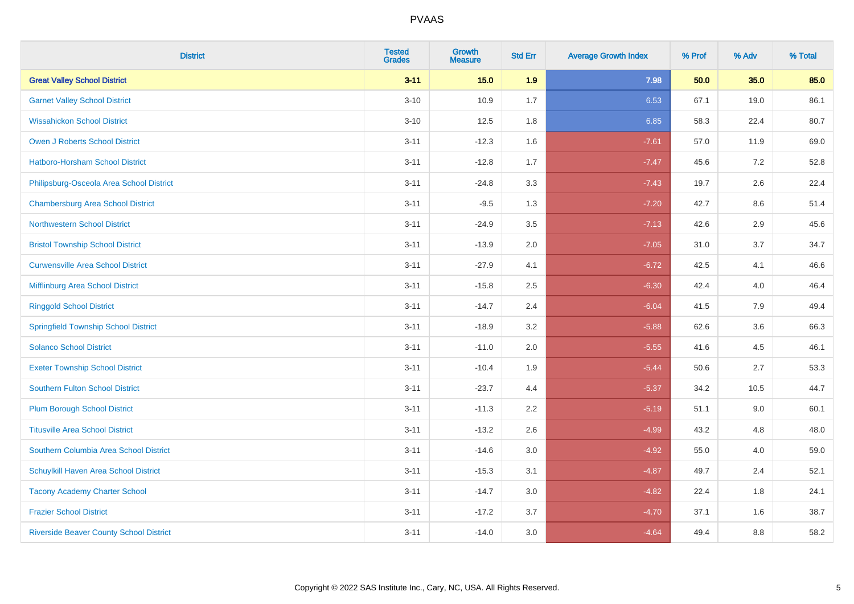| <b>District</b>                                | <b>Tested</b><br><b>Grades</b> | Growth<br><b>Measure</b> | <b>Std Err</b> | <b>Average Growth Index</b> | % Prof | % Adv   | % Total |
|------------------------------------------------|--------------------------------|--------------------------|----------------|-----------------------------|--------|---------|---------|
| <b>Great Valley School District</b>            | $3 - 11$                       | 15.0                     | 1.9            | 7.98                        | 50.0   | 35.0    | 85.0    |
| <b>Garnet Valley School District</b>           | $3 - 10$                       | 10.9                     | 1.7            | 6.53                        | 67.1   | 19.0    | 86.1    |
| <b>Wissahickon School District</b>             | $3 - 10$                       | 12.5                     | 1.8            | 6.85                        | 58.3   | 22.4    | 80.7    |
| Owen J Roberts School District                 | $3 - 11$                       | $-12.3$                  | 1.6            | $-7.61$                     | 57.0   | 11.9    | 69.0    |
| <b>Hatboro-Horsham School District</b>         | $3 - 11$                       | $-12.8$                  | 1.7            | $-7.47$                     | 45.6   | 7.2     | 52.8    |
| Philipsburg-Osceola Area School District       | $3 - 11$                       | $-24.8$                  | 3.3            | $-7.43$                     | 19.7   | 2.6     | 22.4    |
| <b>Chambersburg Area School District</b>       | $3 - 11$                       | $-9.5$                   | 1.3            | $-7.20$                     | 42.7   | $8.6\,$ | 51.4    |
| <b>Northwestern School District</b>            | $3 - 11$                       | $-24.9$                  | 3.5            | $-7.13$                     | 42.6   | 2.9     | 45.6    |
| <b>Bristol Township School District</b>        | $3 - 11$                       | $-13.9$                  | 2.0            | $-7.05$                     | 31.0   | 3.7     | 34.7    |
| <b>Curwensville Area School District</b>       | $3 - 11$                       | $-27.9$                  | 4.1            | $-6.72$                     | 42.5   | 4.1     | 46.6    |
| Mifflinburg Area School District               | $3 - 11$                       | $-15.8$                  | 2.5            | $-6.30$                     | 42.4   | 4.0     | 46.4    |
| <b>Ringgold School District</b>                | $3 - 11$                       | $-14.7$                  | 2.4            | $-6.04$                     | 41.5   | 7.9     | 49.4    |
| <b>Springfield Township School District</b>    | $3 - 11$                       | $-18.9$                  | 3.2            | $-5.88$                     | 62.6   | 3.6     | 66.3    |
| <b>Solanco School District</b>                 | $3 - 11$                       | $-11.0$                  | 2.0            | $-5.55$                     | 41.6   | 4.5     | 46.1    |
| <b>Exeter Township School District</b>         | $3 - 11$                       | $-10.4$                  | 1.9            | $-5.44$                     | 50.6   | 2.7     | 53.3    |
| <b>Southern Fulton School District</b>         | $3 - 11$                       | $-23.7$                  | 4.4            | $-5.37$                     | 34.2   | 10.5    | 44.7    |
| <b>Plum Borough School District</b>            | $3 - 11$                       | $-11.3$                  | 2.2            | $-5.19$                     | 51.1   | 9.0     | 60.1    |
| <b>Titusville Area School District</b>         | $3 - 11$                       | $-13.2$                  | 2.6            | $-4.99$                     | 43.2   | 4.8     | 48.0    |
| Southern Columbia Area School District         | $3 - 11$                       | $-14.6$                  | 3.0            | $-4.92$                     | 55.0   | 4.0     | 59.0    |
| Schuylkill Haven Area School District          | $3 - 11$                       | $-15.3$                  | 3.1            | $-4.87$                     | 49.7   | 2.4     | 52.1    |
| <b>Tacony Academy Charter School</b>           | $3 - 11$                       | $-14.7$                  | 3.0            | $-4.82$                     | 22.4   | 1.8     | 24.1    |
| <b>Frazier School District</b>                 | $3 - 11$                       | $-17.2$                  | 3.7            | $-4.70$                     | 37.1   | 1.6     | 38.7    |
| <b>Riverside Beaver County School District</b> | $3 - 11$                       | $-14.0$                  | 3.0            | $-4.64$                     | 49.4   | 8.8     | 58.2    |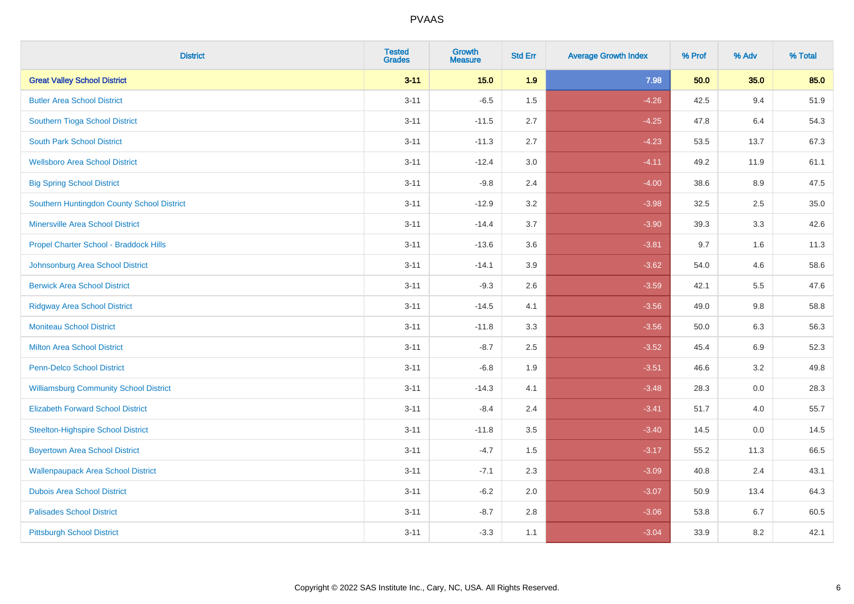| <b>District</b>                               | <b>Tested</b><br><b>Grades</b> | Growth<br><b>Measure</b> | <b>Std Err</b> | <b>Average Growth Index</b> | % Prof | % Adv   | % Total |
|-----------------------------------------------|--------------------------------|--------------------------|----------------|-----------------------------|--------|---------|---------|
| <b>Great Valley School District</b>           | $3 - 11$                       | 15.0                     | 1.9            | 7.98                        | 50.0   | 35.0    | 85.0    |
| <b>Butler Area School District</b>            | $3 - 11$                       | $-6.5$                   | 1.5            | $-4.26$                     | 42.5   | 9.4     | 51.9    |
| Southern Tioga School District                | $3 - 11$                       | $-11.5$                  | 2.7            | $-4.25$                     | 47.8   | 6.4     | 54.3    |
| <b>South Park School District</b>             | $3 - 11$                       | $-11.3$                  | 2.7            | $-4.23$                     | 53.5   | 13.7    | 67.3    |
| <b>Wellsboro Area School District</b>         | $3 - 11$                       | $-12.4$                  | 3.0            | $-4.11$                     | 49.2   | 11.9    | 61.1    |
| <b>Big Spring School District</b>             | $3 - 11$                       | $-9.8$                   | 2.4            | $-4.00$                     | 38.6   | 8.9     | 47.5    |
| Southern Huntingdon County School District    | $3 - 11$                       | $-12.9$                  | 3.2            | $-3.98$                     | 32.5   | 2.5     | 35.0    |
| <b>Minersville Area School District</b>       | $3 - 11$                       | $-14.4$                  | 3.7            | $-3.90$                     | 39.3   | 3.3     | 42.6    |
| Propel Charter School - Braddock Hills        | $3 - 11$                       | $-13.6$                  | 3.6            | $-3.81$                     | 9.7    | 1.6     | 11.3    |
| Johnsonburg Area School District              | $3 - 11$                       | $-14.1$                  | 3.9            | $-3.62$                     | 54.0   | 4.6     | 58.6    |
| <b>Berwick Area School District</b>           | $3 - 11$                       | $-9.3$                   | 2.6            | $-3.59$                     | 42.1   | 5.5     | 47.6    |
| <b>Ridgway Area School District</b>           | $3 - 11$                       | $-14.5$                  | 4.1            | $-3.56$                     | 49.0   | 9.8     | 58.8    |
| <b>Moniteau School District</b>               | $3 - 11$                       | $-11.8$                  | 3.3            | $-3.56$                     | 50.0   | 6.3     | 56.3    |
| <b>Milton Area School District</b>            | $3 - 11$                       | $-8.7$                   | 2.5            | $-3.52$                     | 45.4   | 6.9     | 52.3    |
| <b>Penn-Delco School District</b>             | $3 - 11$                       | $-6.8$                   | 1.9            | $-3.51$                     | 46.6   | 3.2     | 49.8    |
| <b>Williamsburg Community School District</b> | $3 - 11$                       | $-14.3$                  | 4.1            | $-3.48$                     | 28.3   | $0.0\,$ | 28.3    |
| <b>Elizabeth Forward School District</b>      | $3 - 11$                       | $-8.4$                   | 2.4            | $-3.41$                     | 51.7   | 4.0     | 55.7    |
| <b>Steelton-Highspire School District</b>     | $3 - 11$                       | $-11.8$                  | 3.5            | $-3.40$                     | 14.5   | 0.0     | 14.5    |
| <b>Boyertown Area School District</b>         | $3 - 11$                       | $-4.7$                   | 1.5            | $-3.17$                     | 55.2   | 11.3    | 66.5    |
| <b>Wallenpaupack Area School District</b>     | $3 - 11$                       | $-7.1$                   | 2.3            | $-3.09$                     | 40.8   | 2.4     | 43.1    |
| <b>Dubois Area School District</b>            | $3 - 11$                       | $-6.2$                   | 2.0            | $-3.07$                     | 50.9   | 13.4    | 64.3    |
| <b>Palisades School District</b>              | $3 - 11$                       | $-8.7$                   | 2.8            | $-3.06$                     | 53.8   | 6.7     | 60.5    |
| <b>Pittsburgh School District</b>             | $3 - 11$                       | $-3.3$                   | 1.1            | $-3.04$                     | 33.9   | 8.2     | 42.1    |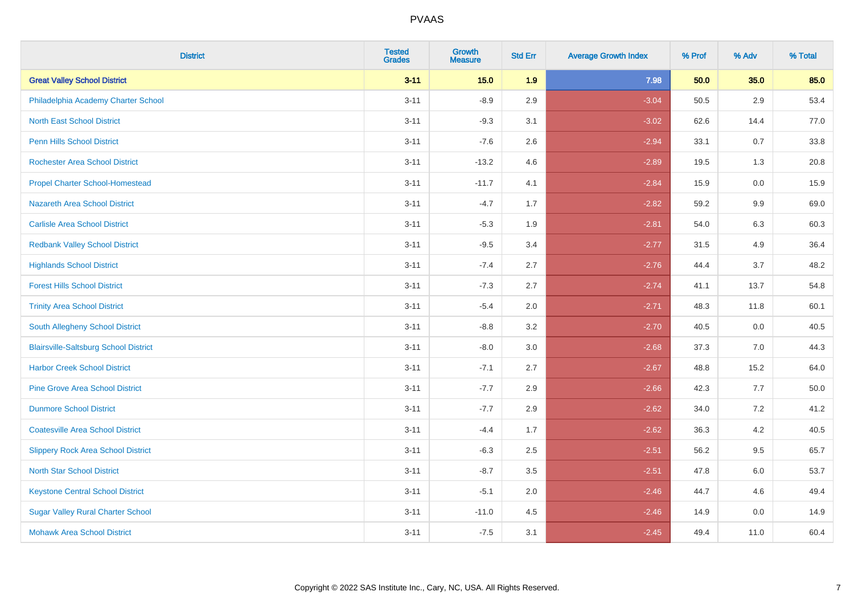| <b>District</b>                              | <b>Tested</b><br><b>Grades</b> | Growth<br><b>Measure</b> | <b>Std Err</b> | <b>Average Growth Index</b> | % Prof | % Adv   | % Total |
|----------------------------------------------|--------------------------------|--------------------------|----------------|-----------------------------|--------|---------|---------|
| <b>Great Valley School District</b>          | $3 - 11$                       | 15.0                     | 1.9            | 7.98                        | 50.0   | 35.0    | 85.0    |
| Philadelphia Academy Charter School          | $3 - 11$                       | $-8.9$                   | 2.9            | $-3.04$                     | 50.5   | 2.9     | 53.4    |
| <b>North East School District</b>            | $3 - 11$                       | $-9.3$                   | 3.1            | $-3.02$                     | 62.6   | 14.4    | 77.0    |
| Penn Hills School District                   | $3 - 11$                       | $-7.6$                   | 2.6            | $-2.94$                     | 33.1   | 0.7     | 33.8    |
| <b>Rochester Area School District</b>        | $3 - 11$                       | $-13.2$                  | 4.6            | $-2.89$                     | 19.5   | 1.3     | 20.8    |
| <b>Propel Charter School-Homestead</b>       | $3 - 11$                       | $-11.7$                  | 4.1            | $-2.84$                     | 15.9   | 0.0     | 15.9    |
| Nazareth Area School District                | $3 - 11$                       | $-4.7$                   | 1.7            | $-2.82$                     | 59.2   | $9.9\,$ | 69.0    |
| <b>Carlisle Area School District</b>         | $3 - 11$                       | $-5.3$                   | 1.9            | $-2.81$                     | 54.0   | 6.3     | 60.3    |
| <b>Redbank Valley School District</b>        | $3 - 11$                       | $-9.5$                   | 3.4            | $-2.77$                     | 31.5   | 4.9     | 36.4    |
| <b>Highlands School District</b>             | $3 - 11$                       | $-7.4$                   | 2.7            | $-2.76$                     | 44.4   | 3.7     | 48.2    |
| <b>Forest Hills School District</b>          | $3 - 11$                       | $-7.3$                   | 2.7            | $-2.74$                     | 41.1   | 13.7    | 54.8    |
| <b>Trinity Area School District</b>          | $3 - 11$                       | $-5.4$                   | 2.0            | $-2.71$                     | 48.3   | 11.8    | 60.1    |
| South Allegheny School District              | $3 - 11$                       | $-8.8$                   | 3.2            | $-2.70$                     | 40.5   | 0.0     | 40.5    |
| <b>Blairsville-Saltsburg School District</b> | $3 - 11$                       | $-8.0$                   | 3.0            | $-2.68$                     | 37.3   | 7.0     | 44.3    |
| <b>Harbor Creek School District</b>          | $3 - 11$                       | $-7.1$                   | 2.7            | $-2.67$                     | 48.8   | 15.2    | 64.0    |
| <b>Pine Grove Area School District</b>       | $3 - 11$                       | $-7.7$                   | 2.9            | $-2.66$                     | 42.3   | 7.7     | 50.0    |
| <b>Dunmore School District</b>               | $3 - 11$                       | $-7.7$                   | 2.9            | $-2.62$                     | 34.0   | 7.2     | 41.2    |
| <b>Coatesville Area School District</b>      | $3 - 11$                       | $-4.4$                   | 1.7            | $-2.62$                     | 36.3   | 4.2     | 40.5    |
| <b>Slippery Rock Area School District</b>    | $3 - 11$                       | $-6.3$                   | 2.5            | $-2.51$                     | 56.2   | 9.5     | 65.7    |
| <b>North Star School District</b>            | $3 - 11$                       | $-8.7$                   | 3.5            | $-2.51$                     | 47.8   | 6.0     | 53.7    |
| <b>Keystone Central School District</b>      | $3 - 11$                       | $-5.1$                   | 2.0            | $-2.46$                     | 44.7   | 4.6     | 49.4    |
| <b>Sugar Valley Rural Charter School</b>     | $3 - 11$                       | $-11.0$                  | 4.5            | $-2.46$                     | 14.9   | 0.0     | 14.9    |
| <b>Mohawk Area School District</b>           | $3 - 11$                       | $-7.5$                   | 3.1            | $-2.45$                     | 49.4   | 11.0    | 60.4    |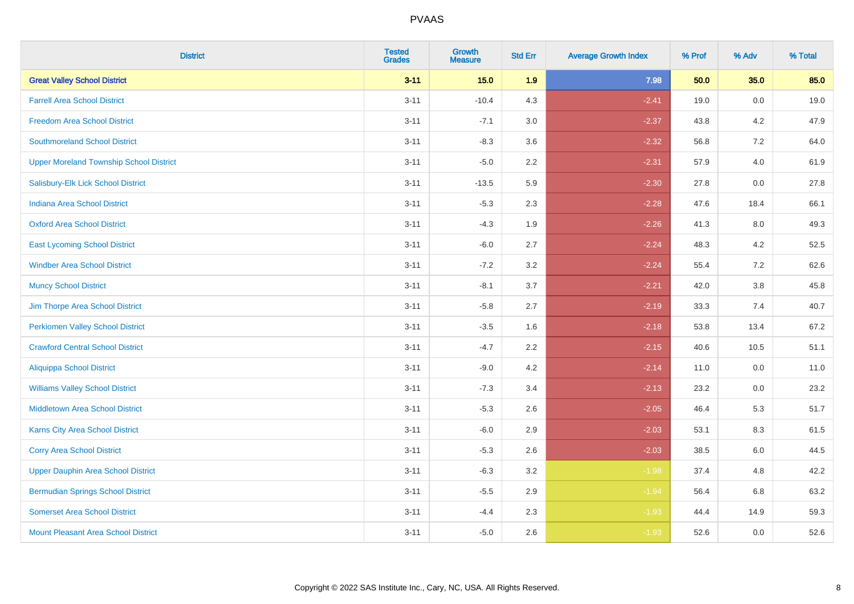| <b>District</b>                                | <b>Tested</b><br><b>Grades</b> | Growth<br><b>Measure</b> | <b>Std Err</b> | <b>Average Growth Index</b> | % Prof | % Adv   | % Total |
|------------------------------------------------|--------------------------------|--------------------------|----------------|-----------------------------|--------|---------|---------|
| <b>Great Valley School District</b>            | $3 - 11$                       | 15.0                     | 1.9            | 7.98                        | 50.0   | 35.0    | 85.0    |
| <b>Farrell Area School District</b>            | $3 - 11$                       | $-10.4$                  | 4.3            | $-2.41$                     | 19.0   | 0.0     | 19.0    |
| <b>Freedom Area School District</b>            | $3 - 11$                       | $-7.1$                   | 3.0            | $-2.37$                     | 43.8   | 4.2     | 47.9    |
| <b>Southmoreland School District</b>           | $3 - 11$                       | $-8.3$                   | 3.6            | $-2.32$                     | 56.8   | $7.2\,$ | 64.0    |
| <b>Upper Moreland Township School District</b> | $3 - 11$                       | $-5.0$                   | 2.2            | $-2.31$                     | 57.9   | 4.0     | 61.9    |
| Salisbury-Elk Lick School District             | $3 - 11$                       | $-13.5$                  | 5.9            | $-2.30$                     | 27.8   | 0.0     | 27.8    |
| <b>Indiana Area School District</b>            | $3 - 11$                       | $-5.3$                   | 2.3            | $-2.28$                     | 47.6   | 18.4    | 66.1    |
| <b>Oxford Area School District</b>             | $3 - 11$                       | $-4.3$                   | 1.9            | $-2.26$                     | 41.3   | 8.0     | 49.3    |
| <b>East Lycoming School District</b>           | $3 - 11$                       | $-6.0$                   | 2.7            | $-2.24$                     | 48.3   | 4.2     | 52.5    |
| <b>Windber Area School District</b>            | $3 - 11$                       | $-7.2$                   | 3.2            | $-2.24$                     | 55.4   | 7.2     | 62.6    |
| <b>Muncy School District</b>                   | $3 - 11$                       | $-8.1$                   | 3.7            | $-2.21$                     | 42.0   | 3.8     | 45.8    |
| Jim Thorpe Area School District                | $3 - 11$                       | $-5.8$                   | 2.7            | $-2.19$                     | 33.3   | 7.4     | 40.7    |
| <b>Perkiomen Valley School District</b>        | $3 - 11$                       | $-3.5$                   | 1.6            | $-2.18$                     | 53.8   | 13.4    | 67.2    |
| <b>Crawford Central School District</b>        | $3 - 11$                       | $-4.7$                   | 2.2            | $-2.15$                     | 40.6   | 10.5    | 51.1    |
| <b>Aliquippa School District</b>               | $3 - 11$                       | $-9.0$                   | 4.2            | $-2.14$                     | 11.0   | 0.0     | 11.0    |
| <b>Williams Valley School District</b>         | $3 - 11$                       | $-7.3$                   | 3.4            | $-2.13$                     | 23.2   | 0.0     | 23.2    |
| <b>Middletown Area School District</b>         | $3 - 11$                       | $-5.3$                   | 2.6            | $-2.05$                     | 46.4   | 5.3     | 51.7    |
| <b>Karns City Area School District</b>         | $3 - 11$                       | $-6.0$                   | 2.9            | $-2.03$                     | 53.1   | 8.3     | 61.5    |
| <b>Corry Area School District</b>              | $3 - 11$                       | $-5.3$                   | 2.6            | $-2.03$                     | 38.5   | $6.0\,$ | 44.5    |
| <b>Upper Dauphin Area School District</b>      | $3 - 11$                       | $-6.3$                   | 3.2            | $-1.98$                     | 37.4   | 4.8     | 42.2    |
| <b>Bermudian Springs School District</b>       | $3 - 11$                       | $-5.5$                   | 2.9            | $-1.94$                     | 56.4   | 6.8     | 63.2    |
| <b>Somerset Area School District</b>           | $3 - 11$                       | $-4.4$                   | 2.3            | $-1.93$                     | 44.4   | 14.9    | 59.3    |
| <b>Mount Pleasant Area School District</b>     | $3 - 11$                       | $-5.0$                   | 2.6            | $-1.93$                     | 52.6   | 0.0     | 52.6    |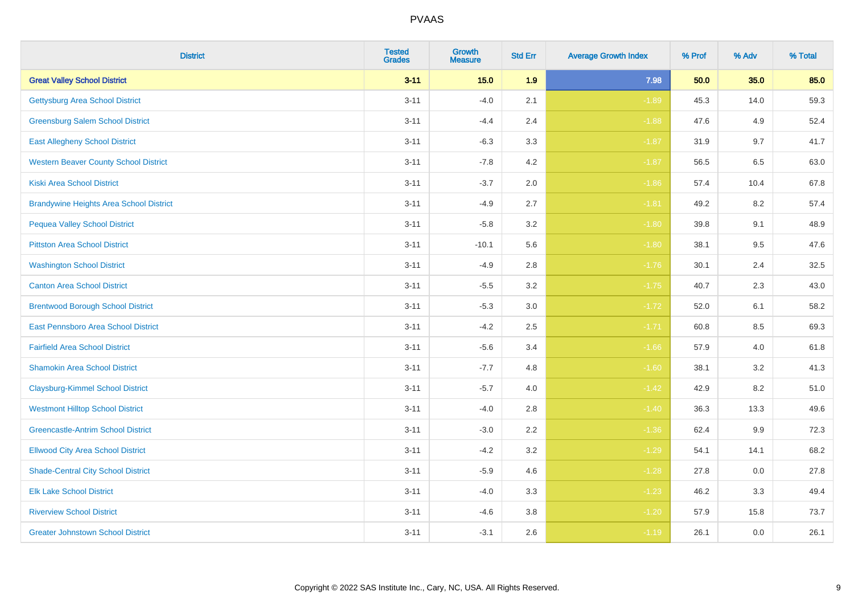| <b>District</b>                                | <b>Tested</b><br><b>Grades</b> | Growth<br><b>Measure</b> | <b>Std Err</b> | <b>Average Growth Index</b> | % Prof | % Adv | % Total |
|------------------------------------------------|--------------------------------|--------------------------|----------------|-----------------------------|--------|-------|---------|
| <b>Great Valley School District</b>            | $3 - 11$                       | 15.0                     | 1.9            | 7.98                        | 50.0   | 35.0  | 85.0    |
| <b>Gettysburg Area School District</b>         | $3 - 11$                       | $-4.0$                   | 2.1            | $-1.89$                     | 45.3   | 14.0  | 59.3    |
| <b>Greensburg Salem School District</b>        | $3 - 11$                       | $-4.4$                   | 2.4            | $-1.88$                     | 47.6   | 4.9   | 52.4    |
| <b>East Allegheny School District</b>          | $3 - 11$                       | $-6.3$                   | 3.3            | $-1.87$                     | 31.9   | 9.7   | 41.7    |
| <b>Western Beaver County School District</b>   | $3 - 11$                       | $-7.8$                   | 4.2            | $-1.87$                     | 56.5   | 6.5   | 63.0    |
| <b>Kiski Area School District</b>              | $3 - 11$                       | $-3.7$                   | 2.0            | $-1.86$                     | 57.4   | 10.4  | 67.8    |
| <b>Brandywine Heights Area School District</b> | $3 - 11$                       | $-4.9$                   | 2.7            | $-1.81$                     | 49.2   | 8.2   | 57.4    |
| <b>Pequea Valley School District</b>           | $3 - 11$                       | $-5.8$                   | 3.2            | $-1.80$                     | 39.8   | 9.1   | 48.9    |
| <b>Pittston Area School District</b>           | $3 - 11$                       | $-10.1$                  | 5.6            | $-1.80$                     | 38.1   | 9.5   | 47.6    |
| <b>Washington School District</b>              | $3 - 11$                       | $-4.9$                   | 2.8            | $-1.76$                     | 30.1   | 2.4   | 32.5    |
| <b>Canton Area School District</b>             | $3 - 11$                       | $-5.5$                   | 3.2            | $-1.75$                     | 40.7   | 2.3   | 43.0    |
| <b>Brentwood Borough School District</b>       | $3 - 11$                       | $-5.3$                   | 3.0            | $-1.72$                     | 52.0   | 6.1   | 58.2    |
| East Pennsboro Area School District            | $3 - 11$                       | $-4.2$                   | 2.5            | $-1.71$                     | 60.8   | 8.5   | 69.3    |
| <b>Fairfield Area School District</b>          | $3 - 11$                       | $-5.6$                   | 3.4            | $-1.66$                     | 57.9   | 4.0   | 61.8    |
| <b>Shamokin Area School District</b>           | $3 - 11$                       | $-7.7$                   | 4.8            | $-1.60$                     | 38.1   | 3.2   | 41.3    |
| <b>Claysburg-Kimmel School District</b>        | $3 - 11$                       | $-5.7$                   | 4.0            | $-1.42$                     | 42.9   | 8.2   | 51.0    |
| <b>Westmont Hilltop School District</b>        | $3 - 11$                       | $-4.0$                   | 2.8            | $-1.40$                     | 36.3   | 13.3  | 49.6    |
| <b>Greencastle-Antrim School District</b>      | $3 - 11$                       | $-3.0$                   | 2.2            | $-1.36$                     | 62.4   | 9.9   | 72.3    |
| <b>Ellwood City Area School District</b>       | $3 - 11$                       | $-4.2$                   | 3.2            | $-1.29$                     | 54.1   | 14.1  | 68.2    |
| <b>Shade-Central City School District</b>      | $3 - 11$                       | $-5.9$                   | 4.6            | $-1.28$                     | 27.8   | 0.0   | 27.8    |
| <b>Elk Lake School District</b>                | $3 - 11$                       | $-4.0$                   | 3.3            | $-1.23$                     | 46.2   | 3.3   | 49.4    |
| <b>Riverview School District</b>               | $3 - 11$                       | $-4.6$                   | 3.8            | $-1.20$                     | 57.9   | 15.8  | 73.7    |
| <b>Greater Johnstown School District</b>       | $3 - 11$                       | $-3.1$                   | 2.6            | $-1.19$                     | 26.1   | 0.0   | 26.1    |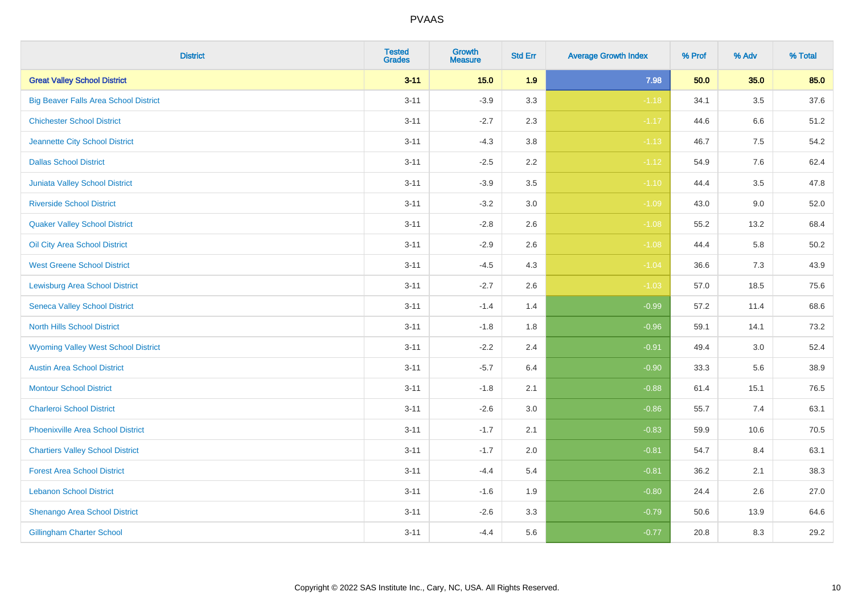| <b>District</b>                              | <b>Tested</b><br><b>Grades</b> | Growth<br><b>Measure</b> | <b>Std Err</b> | <b>Average Growth Index</b> | % Prof | % Adv   | % Total  |
|----------------------------------------------|--------------------------------|--------------------------|----------------|-----------------------------|--------|---------|----------|
| <b>Great Valley School District</b>          | $3 - 11$                       | 15.0                     | 1.9            | 7.98                        | 50.0   | 35.0    | 85.0     |
| <b>Big Beaver Falls Area School District</b> | $3 - 11$                       | $-3.9$                   | 3.3            | $-1.18$                     | 34.1   | $3.5\,$ | 37.6     |
| <b>Chichester School District</b>            | $3 - 11$                       | $-2.7$                   | 2.3            | $-1.17$                     | 44.6   | 6.6     | 51.2     |
| Jeannette City School District               | $3 - 11$                       | $-4.3$                   | 3.8            | $-1.13$                     | 46.7   | $7.5\,$ | 54.2     |
| <b>Dallas School District</b>                | $3 - 11$                       | $-2.5$                   | 2.2            | $-1.12$                     | 54.9   | 7.6     | 62.4     |
| <b>Juniata Valley School District</b>        | $3 - 11$                       | $-3.9$                   | 3.5            | $-1.10$                     | 44.4   | 3.5     | 47.8     |
| <b>Riverside School District</b>             | $3 - 11$                       | $-3.2$                   | 3.0            | $-1.09$                     | 43.0   | 9.0     | 52.0     |
| <b>Quaker Valley School District</b>         | $3 - 11$                       | $-2.8$                   | 2.6            | $-1.08$                     | 55.2   | 13.2    | 68.4     |
| Oil City Area School District                | $3 - 11$                       | $-2.9$                   | 2.6            | $-1.08$                     | 44.4   | 5.8     | $50.2\,$ |
| <b>West Greene School District</b>           | $3 - 11$                       | $-4.5$                   | 4.3            | $-1.04$                     | 36.6   | 7.3     | 43.9     |
| <b>Lewisburg Area School District</b>        | $3 - 11$                       | $-2.7$                   | 2.6            | $-1.03$                     | 57.0   | 18.5    | 75.6     |
| <b>Seneca Valley School District</b>         | $3 - 11$                       | $-1.4$                   | 1.4            | $-0.99$                     | 57.2   | 11.4    | 68.6     |
| <b>North Hills School District</b>           | $3 - 11$                       | $-1.8$                   | 1.8            | $-0.96$                     | 59.1   | 14.1    | 73.2     |
| <b>Wyoming Valley West School District</b>   | $3 - 11$                       | $-2.2$                   | 2.4            | $-0.91$                     | 49.4   | 3.0     | 52.4     |
| <b>Austin Area School District</b>           | $3 - 11$                       | $-5.7$                   | 6.4            | $-0.90$                     | 33.3   | 5.6     | 38.9     |
| <b>Montour School District</b>               | $3 - 11$                       | $-1.8$                   | 2.1            | $-0.88$                     | 61.4   | 15.1    | 76.5     |
| <b>Charleroi School District</b>             | $3 - 11$                       | $-2.6$                   | 3.0            | $-0.86$                     | 55.7   | 7.4     | 63.1     |
| <b>Phoenixville Area School District</b>     | $3 - 11$                       | $-1.7$                   | 2.1            | $-0.83$                     | 59.9   | 10.6    | 70.5     |
| <b>Chartiers Valley School District</b>      | $3 - 11$                       | $-1.7$                   | 2.0            | $-0.81$                     | 54.7   | 8.4     | 63.1     |
| <b>Forest Area School District</b>           | $3 - 11$                       | $-4.4$                   | 5.4            | $-0.81$                     | 36.2   | 2.1     | 38.3     |
| <b>Lebanon School District</b>               | $3 - 11$                       | $-1.6$                   | 1.9            | $-0.80$                     | 24.4   | 2.6     | 27.0     |
| Shenango Area School District                | $3 - 11$                       | $-2.6$                   | 3.3            | $-0.79$                     | 50.6   | 13.9    | 64.6     |
| <b>Gillingham Charter School</b>             | $3 - 11$                       | $-4.4$                   | 5.6            | $-0.77$                     | 20.8   | 8.3     | 29.2     |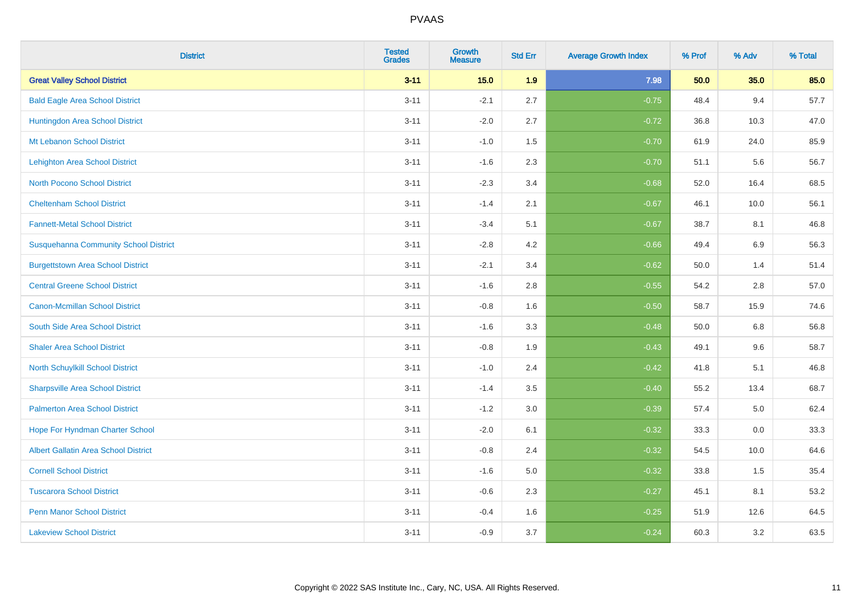| <b>District</b>                              | <b>Tested</b><br><b>Grades</b> | <b>Growth</b><br><b>Measure</b> | <b>Std Err</b> | <b>Average Growth Index</b> | % Prof | % Adv | % Total |
|----------------------------------------------|--------------------------------|---------------------------------|----------------|-----------------------------|--------|-------|---------|
| <b>Great Valley School District</b>          | $3 - 11$                       | 15.0                            | 1.9            | 7.98                        | 50.0   | 35.0  | 85.0    |
| <b>Bald Eagle Area School District</b>       | $3 - 11$                       | $-2.1$                          | 2.7            | $-0.75$                     | 48.4   | 9.4   | 57.7    |
| Huntingdon Area School District              | $3 - 11$                       | $-2.0$                          | 2.7            | $-0.72$                     | 36.8   | 10.3  | 47.0    |
| Mt Lebanon School District                   | $3 - 11$                       | $-1.0$                          | 1.5            | $-0.70$                     | 61.9   | 24.0  | 85.9    |
| Lehighton Area School District               | $3 - 11$                       | $-1.6$                          | 2.3            | $-0.70$                     | 51.1   | 5.6   | 56.7    |
| <b>North Pocono School District</b>          | $3 - 11$                       | $-2.3$                          | 3.4            | $-0.68$                     | 52.0   | 16.4  | 68.5    |
| <b>Cheltenham School District</b>            | $3 - 11$                       | $-1.4$                          | 2.1            | $-0.67$                     | 46.1   | 10.0  | 56.1    |
| <b>Fannett-Metal School District</b>         | $3 - 11$                       | $-3.4$                          | 5.1            | $-0.67$                     | 38.7   | 8.1   | 46.8    |
| <b>Susquehanna Community School District</b> | $3 - 11$                       | $-2.8$                          | 4.2            | $-0.66$                     | 49.4   | 6.9   | 56.3    |
| <b>Burgettstown Area School District</b>     | $3 - 11$                       | $-2.1$                          | 3.4            | $-0.62$                     | 50.0   | 1.4   | 51.4    |
| <b>Central Greene School District</b>        | $3 - 11$                       | $-1.6$                          | 2.8            | $-0.55$                     | 54.2   | 2.8   | 57.0    |
| <b>Canon-Mcmillan School District</b>        | $3 - 11$                       | $-0.8$                          | 1.6            | $-0.50$                     | 58.7   | 15.9  | 74.6    |
| South Side Area School District              | $3 - 11$                       | $-1.6$                          | 3.3            | $-0.48$                     | 50.0   | 6.8   | 56.8    |
| <b>Shaler Area School District</b>           | $3 - 11$                       | $-0.8$                          | 1.9            | $-0.43$                     | 49.1   | 9.6   | 58.7    |
| North Schuylkill School District             | $3 - 11$                       | $-1.0$                          | 2.4            | $-0.42$                     | 41.8   | 5.1   | 46.8    |
| <b>Sharpsville Area School District</b>      | $3 - 11$                       | $-1.4$                          | 3.5            | $-0.40$                     | 55.2   | 13.4  | 68.7    |
| <b>Palmerton Area School District</b>        | $3 - 11$                       | $-1.2$                          | 3.0            | $-0.39$                     | 57.4   | 5.0   | 62.4    |
| Hope For Hyndman Charter School              | $3 - 11$                       | $-2.0$                          | 6.1            | $-0.32$                     | 33.3   | 0.0   | 33.3    |
| <b>Albert Gallatin Area School District</b>  | $3 - 11$                       | $-0.8$                          | 2.4            | $-0.32$                     | 54.5   | 10.0  | 64.6    |
| <b>Cornell School District</b>               | $3 - 11$                       | $-1.6$                          | 5.0            | $-0.32$                     | 33.8   | 1.5   | 35.4    |
| <b>Tuscarora School District</b>             | $3 - 11$                       | $-0.6$                          | 2.3            | $-0.27$                     | 45.1   | 8.1   | 53.2    |
| <b>Penn Manor School District</b>            | $3 - 11$                       | $-0.4$                          | 1.6            | $-0.25$                     | 51.9   | 12.6  | 64.5    |
| <b>Lakeview School District</b>              | $3 - 11$                       | $-0.9$                          | 3.7            | $-0.24$                     | 60.3   | 3.2   | 63.5    |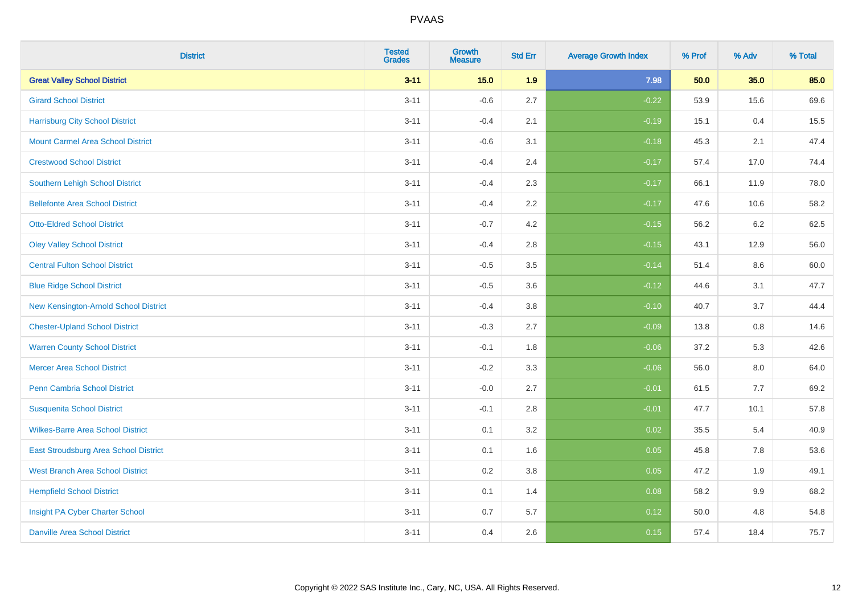| <b>District</b>                          | <b>Tested</b><br><b>Grades</b> | <b>Growth</b><br><b>Measure</b> | <b>Std Err</b> | <b>Average Growth Index</b> | % Prof | % Adv   | % Total |
|------------------------------------------|--------------------------------|---------------------------------|----------------|-----------------------------|--------|---------|---------|
| <b>Great Valley School District</b>      | $3 - 11$                       | 15.0                            | 1.9            | 7.98                        | 50.0   | 35.0    | 85.0    |
| <b>Girard School District</b>            | $3 - 11$                       | $-0.6$                          | 2.7            | $-0.22$                     | 53.9   | 15.6    | 69.6    |
| <b>Harrisburg City School District</b>   | $3 - 11$                       | $-0.4$                          | 2.1            | $-0.19$                     | 15.1   | 0.4     | 15.5    |
| <b>Mount Carmel Area School District</b> | $3 - 11$                       | $-0.6$                          | 3.1            | $-0.18$                     | 45.3   | 2.1     | 47.4    |
| <b>Crestwood School District</b>         | $3 - 11$                       | $-0.4$                          | 2.4            | $-0.17$                     | 57.4   | 17.0    | 74.4    |
| <b>Southern Lehigh School District</b>   | $3 - 11$                       | $-0.4$                          | 2.3            | $-0.17$                     | 66.1   | 11.9    | 78.0    |
| <b>Bellefonte Area School District</b>   | $3 - 11$                       | $-0.4$                          | 2.2            | $-0.17$                     | 47.6   | 10.6    | 58.2    |
| <b>Otto-Eldred School District</b>       | $3 - 11$                       | $-0.7$                          | 4.2            | $-0.15$                     | 56.2   | $6.2\,$ | 62.5    |
| <b>Oley Valley School District</b>       | $3 - 11$                       | $-0.4$                          | 2.8            | $-0.15$                     | 43.1   | 12.9    | 56.0    |
| <b>Central Fulton School District</b>    | $3 - 11$                       | $-0.5$                          | 3.5            | $-0.14$                     | 51.4   | 8.6     | 60.0    |
| <b>Blue Ridge School District</b>        | $3 - 11$                       | $-0.5$                          | 3.6            | $-0.12$                     | 44.6   | 3.1     | 47.7    |
| New Kensington-Arnold School District    | $3 - 11$                       | $-0.4$                          | 3.8            | $-0.10$                     | 40.7   | 3.7     | 44.4    |
| <b>Chester-Upland School District</b>    | $3 - 11$                       | $-0.3$                          | 2.7            | $-0.09$                     | 13.8   | 0.8     | 14.6    |
| <b>Warren County School District</b>     | $3 - 11$                       | $-0.1$                          | 1.8            | $-0.06$                     | 37.2   | 5.3     | 42.6    |
| <b>Mercer Area School District</b>       | $3 - 11$                       | $-0.2$                          | 3.3            | $-0.06$                     | 56.0   | $8.0\,$ | 64.0    |
| <b>Penn Cambria School District</b>      | $3 - 11$                       | $-0.0$                          | 2.7            | $-0.01$                     | 61.5   | 7.7     | 69.2    |
| <b>Susquenita School District</b>        | $3 - 11$                       | $-0.1$                          | 2.8            | $-0.01$                     | 47.7   | 10.1    | 57.8    |
| <b>Wilkes-Barre Area School District</b> | $3 - 11$                       | 0.1                             | 3.2            | 0.02                        | 35.5   | 5.4     | 40.9    |
| East Stroudsburg Area School District    | $3 - 11$                       | 0.1                             | 1.6            | 0.05                        | 45.8   | 7.8     | 53.6    |
| <b>West Branch Area School District</b>  | $3 - 11$                       | 0.2                             | 3.8            | 0.05                        | 47.2   | 1.9     | 49.1    |
| <b>Hempfield School District</b>         | $3 - 11$                       | 0.1                             | 1.4            | 0.08                        | 58.2   | 9.9     | 68.2    |
| Insight PA Cyber Charter School          | $3 - 11$                       | 0.7                             | 5.7            | 0.12                        | 50.0   | 4.8     | 54.8    |
| <b>Danville Area School District</b>     | $3 - 11$                       | 0.4                             | 2.6            | 0.15                        | 57.4   | 18.4    | 75.7    |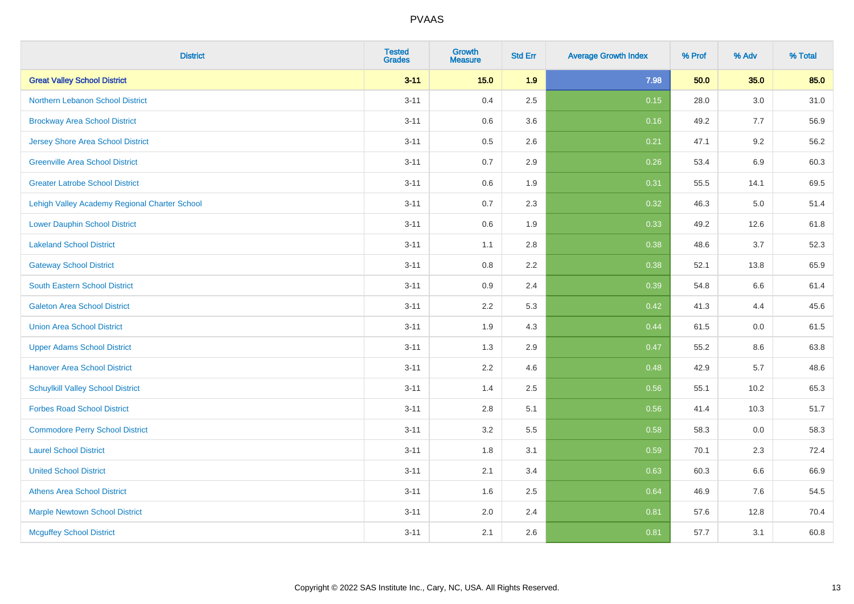| <b>District</b>                               | <b>Tested</b><br><b>Grades</b> | <b>Growth</b><br><b>Measure</b> | <b>Std Err</b> | <b>Average Growth Index</b> | % Prof | % Adv   | % Total |
|-----------------------------------------------|--------------------------------|---------------------------------|----------------|-----------------------------|--------|---------|---------|
| <b>Great Valley School District</b>           | $3 - 11$                       | 15.0                            | 1.9            | 7.98                        | 50.0   | 35.0    | 85.0    |
| Northern Lebanon School District              | $3 - 11$                       | 0.4                             | 2.5            | 0.15                        | 28.0   | $3.0\,$ | 31.0    |
| <b>Brockway Area School District</b>          | $3 - 11$                       | 0.6                             | 3.6            | 0.16                        | 49.2   | 7.7     | 56.9    |
| Jersey Shore Area School District             | $3 - 11$                       | $0.5\,$                         | 2.6            | 0.21                        | 47.1   | 9.2     | 56.2    |
| <b>Greenville Area School District</b>        | $3 - 11$                       | 0.7                             | 2.9            | 0.26                        | 53.4   | 6.9     | 60.3    |
| <b>Greater Latrobe School District</b>        | $3 - 11$                       | 0.6                             | 1.9            | 0.31                        | 55.5   | 14.1    | 69.5    |
| Lehigh Valley Academy Regional Charter School | $3 - 11$                       | 0.7                             | 2.3            | 0.32                        | 46.3   | $5.0\,$ | 51.4    |
| <b>Lower Dauphin School District</b>          | $3 - 11$                       | 0.6                             | 1.9            | 0.33                        | 49.2   | 12.6    | 61.8    |
| <b>Lakeland School District</b>               | $3 - 11$                       | 1.1                             | 2.8            | 0.38                        | 48.6   | 3.7     | 52.3    |
| <b>Gateway School District</b>                | $3 - 11$                       | 0.8                             | 2.2            | 0.38                        | 52.1   | 13.8    | 65.9    |
| <b>South Eastern School District</b>          | $3 - 11$                       | 0.9                             | 2.4            | 0.39                        | 54.8   | 6.6     | 61.4    |
| <b>Galeton Area School District</b>           | $3 - 11$                       | 2.2                             | 5.3            | 0.42                        | 41.3   | 4.4     | 45.6    |
| <b>Union Area School District</b>             | $3 - 11$                       | 1.9                             | 4.3            | 0.44                        | 61.5   | 0.0     | 61.5    |
| <b>Upper Adams School District</b>            | $3 - 11$                       | 1.3                             | 2.9            | 0.47                        | 55.2   | 8.6     | 63.8    |
| <b>Hanover Area School District</b>           | $3 - 11$                       | 2.2                             | 4.6            | 0.48                        | 42.9   | 5.7     | 48.6    |
| <b>Schuylkill Valley School District</b>      | $3 - 11$                       | 1.4                             | 2.5            | 0.56                        | 55.1   | 10.2    | 65.3    |
| <b>Forbes Road School District</b>            | $3 - 11$                       | 2.8                             | 5.1            | 0.56                        | 41.4   | 10.3    | 51.7    |
| <b>Commodore Perry School District</b>        | $3 - 11$                       | 3.2                             | 5.5            | 0.58                        | 58.3   | 0.0     | 58.3    |
| <b>Laurel School District</b>                 | $3 - 11$                       | 1.8                             | 3.1            | 0.59                        | 70.1   | 2.3     | 72.4    |
| <b>United School District</b>                 | $3 - 11$                       | 2.1                             | 3.4            | 0.63                        | 60.3   | 6.6     | 66.9    |
| <b>Athens Area School District</b>            | $3 - 11$                       | 1.6                             | 2.5            | 0.64                        | 46.9   | 7.6     | 54.5    |
| <b>Marple Newtown School District</b>         | $3 - 11$                       | 2.0                             | 2.4            | 0.81                        | 57.6   | 12.8    | 70.4    |
| <b>Mcguffey School District</b>               | $3 - 11$                       | 2.1                             | 2.6            | 0.81                        | 57.7   | 3.1     | 60.8    |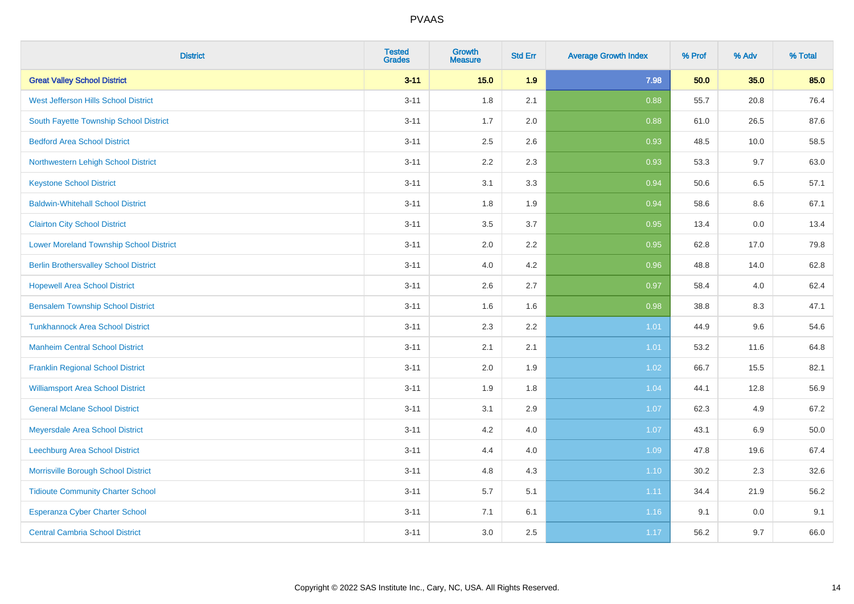| <b>District</b>                                | <b>Tested</b><br><b>Grades</b> | Growth<br><b>Measure</b> | <b>Std Err</b> | <b>Average Growth Index</b> | % Prof | % Adv   | % Total |
|------------------------------------------------|--------------------------------|--------------------------|----------------|-----------------------------|--------|---------|---------|
| <b>Great Valley School District</b>            | $3 - 11$                       | 15.0                     | 1.9            | 7.98                        | 50.0   | 35.0    | 85.0    |
| West Jefferson Hills School District           | $3 - 11$                       | 1.8                      | 2.1            | 0.88                        | 55.7   | 20.8    | 76.4    |
| South Fayette Township School District         | $3 - 11$                       | 1.7                      | 2.0            | 0.88                        | 61.0   | 26.5    | 87.6    |
| <b>Bedford Area School District</b>            | $3 - 11$                       | 2.5                      | 2.6            | 0.93                        | 48.5   | 10.0    | 58.5    |
| Northwestern Lehigh School District            | $3 - 11$                       | 2.2                      | 2.3            | 0.93                        | 53.3   | 9.7     | 63.0    |
| <b>Keystone School District</b>                | $3 - 11$                       | 3.1                      | 3.3            | 0.94                        | 50.6   | 6.5     | 57.1    |
| <b>Baldwin-Whitehall School District</b>       | $3 - 11$                       | 1.8                      | 1.9            | 0.94                        | 58.6   | $8.6\,$ | 67.1    |
| <b>Clairton City School District</b>           | $3 - 11$                       | 3.5                      | 3.7            | 0.95                        | 13.4   | 0.0     | 13.4    |
| <b>Lower Moreland Township School District</b> | $3 - 11$                       | 2.0                      | 2.2            | 0.95                        | 62.8   | 17.0    | 79.8    |
| <b>Berlin Brothersvalley School District</b>   | $3 - 11$                       | 4.0                      | 4.2            | 0.96                        | 48.8   | 14.0    | 62.8    |
| <b>Hopewell Area School District</b>           | $3 - 11$                       | 2.6                      | 2.7            | 0.97                        | 58.4   | 4.0     | 62.4    |
| <b>Bensalem Township School District</b>       | $3 - 11$                       | 1.6                      | 1.6            | 0.98                        | 38.8   | 8.3     | 47.1    |
| <b>Tunkhannock Area School District</b>        | $3 - 11$                       | 2.3                      | 2.2            | 1.01                        | 44.9   | 9.6     | 54.6    |
| <b>Manheim Central School District</b>         | $3 - 11$                       | 2.1                      | 2.1            | 1.01                        | 53.2   | 11.6    | 64.8    |
| <b>Franklin Regional School District</b>       | $3 - 11$                       | 2.0                      | 1.9            | 1.02                        | 66.7   | 15.5    | 82.1    |
| <b>Williamsport Area School District</b>       | $3 - 11$                       | 1.9                      | 1.8            | 1.04                        | 44.1   | 12.8    | 56.9    |
| <b>General Mclane School District</b>          | $3 - 11$                       | 3.1                      | 2.9            | 1.07                        | 62.3   | 4.9     | 67.2    |
| Meyersdale Area School District                | $3 - 11$                       | 4.2                      | 4.0            | 1.07                        | 43.1   | $6.9\,$ | 50.0    |
| <b>Leechburg Area School District</b>          | $3 - 11$                       | 4.4                      | 4.0            | 1.09                        | 47.8   | 19.6    | 67.4    |
| Morrisville Borough School District            | $3 - 11$                       | 4.8                      | 4.3            | 1.10                        | 30.2   | 2.3     | 32.6    |
| <b>Tidioute Community Charter School</b>       | $3 - 11$                       | 5.7                      | 5.1            | 1.11                        | 34.4   | 21.9    | 56.2    |
| Esperanza Cyber Charter School                 | $3 - 11$                       | 7.1                      | 6.1            | 1.16                        | 9.1    | 0.0     | 9.1     |
| <b>Central Cambria School District</b>         | $3 - 11$                       | 3.0                      | 2.5            | 1.17                        | 56.2   | 9.7     | 66.0    |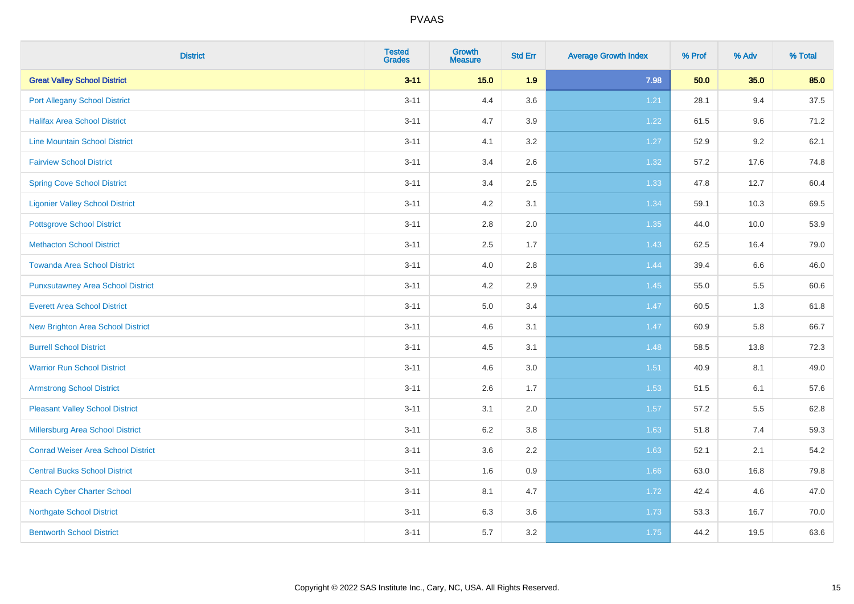| <b>District</b>                           | <b>Tested</b><br><b>Grades</b> | <b>Growth</b><br><b>Measure</b> | <b>Std Err</b> | <b>Average Growth Index</b> | % Prof | % Adv   | % Total |
|-------------------------------------------|--------------------------------|---------------------------------|----------------|-----------------------------|--------|---------|---------|
| <b>Great Valley School District</b>       | $3 - 11$                       | 15.0                            | 1.9            | 7.98                        | 50.0   | 35.0    | 85.0    |
| <b>Port Allegany School District</b>      | $3 - 11$                       | 4.4                             | 3.6            | 1.21                        | 28.1   | 9.4     | 37.5    |
| <b>Halifax Area School District</b>       | $3 - 11$                       | 4.7                             | 3.9            | 1.22                        | 61.5   | 9.6     | 71.2    |
| <b>Line Mountain School District</b>      | $3 - 11$                       | 4.1                             | 3.2            | 1.27                        | 52.9   | $9.2\,$ | 62.1    |
| <b>Fairview School District</b>           | $3 - 11$                       | 3.4                             | 2.6            | 1.32                        | 57.2   | 17.6    | 74.8    |
| <b>Spring Cove School District</b>        | $3 - 11$                       | 3.4                             | 2.5            | 1.33                        | 47.8   | 12.7    | 60.4    |
| <b>Ligonier Valley School District</b>    | $3 - 11$                       | 4.2                             | 3.1            | 1.34                        | 59.1   | 10.3    | 69.5    |
| <b>Pottsgrove School District</b>         | $3 - 11$                       | 2.8                             | 2.0            | 1.35                        | 44.0   | 10.0    | 53.9    |
| <b>Methacton School District</b>          | $3 - 11$                       | 2.5                             | 1.7            | 1.43                        | 62.5   | 16.4    | 79.0    |
| <b>Towanda Area School District</b>       | $3 - 11$                       | 4.0                             | 2.8            | 1.44                        | 39.4   | 6.6     | 46.0    |
| <b>Punxsutawney Area School District</b>  | $3 - 11$                       | 4.2                             | 2.9            | 1.45                        | 55.0   | 5.5     | 60.6    |
| <b>Everett Area School District</b>       | $3 - 11$                       | 5.0                             | 3.4            | 1.47                        | 60.5   | 1.3     | 61.8    |
| New Brighton Area School District         | $3 - 11$                       | 4.6                             | 3.1            | 1.47                        | 60.9   | 5.8     | 66.7    |
| <b>Burrell School District</b>            | $3 - 11$                       | 4.5                             | 3.1            | 1.48                        | 58.5   | 13.8    | 72.3    |
| <b>Warrior Run School District</b>        | $3 - 11$                       | 4.6                             | 3.0            | 1.51                        | 40.9   | 8.1     | 49.0    |
| <b>Armstrong School District</b>          | $3 - 11$                       | 2.6                             | 1.7            | 1.53                        | 51.5   | 6.1     | 57.6    |
| <b>Pleasant Valley School District</b>    | $3 - 11$                       | 3.1                             | 2.0            | 1.57                        | 57.2   | 5.5     | 62.8    |
| Millersburg Area School District          | $3 - 11$                       | 6.2                             | 3.8            | 1.63                        | 51.8   | 7.4     | 59.3    |
| <b>Conrad Weiser Area School District</b> | $3 - 11$                       | 3.6                             | 2.2            | 1.63                        | 52.1   | 2.1     | 54.2    |
| <b>Central Bucks School District</b>      | $3 - 11$                       | 1.6                             | 0.9            | 1.66                        | 63.0   | 16.8    | 79.8    |
| <b>Reach Cyber Charter School</b>         | $3 - 11$                       | 8.1                             | 4.7            | 1.72                        | 42.4   | 4.6     | 47.0    |
| <b>Northgate School District</b>          | $3 - 11$                       | 6.3                             | 3.6            | 1.73                        | 53.3   | 16.7    | 70.0    |
| <b>Bentworth School District</b>          | $3 - 11$                       | 5.7                             | 3.2            | 1.75                        | 44.2   | 19.5    | 63.6    |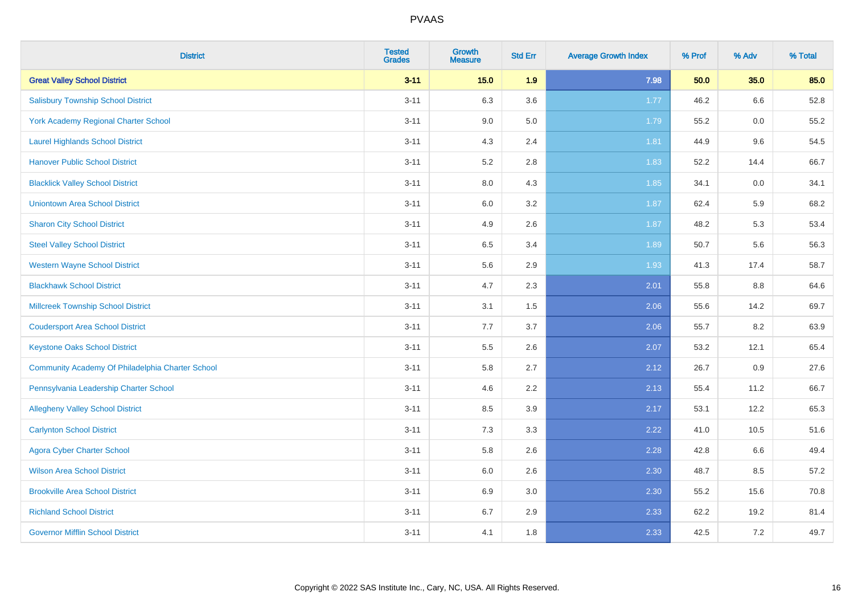| <b>District</b>                                  | <b>Tested</b><br><b>Grades</b> | <b>Growth</b><br><b>Measure</b> | <b>Std Err</b> | <b>Average Growth Index</b> | % Prof | % Adv | % Total |
|--------------------------------------------------|--------------------------------|---------------------------------|----------------|-----------------------------|--------|-------|---------|
| <b>Great Valley School District</b>              | $3 - 11$                       | $15.0$                          | 1.9            | 7.98                        | 50.0   | 35.0  | 85.0    |
| <b>Salisbury Township School District</b>        | $3 - 11$                       | 6.3                             | 3.6            | 1.77                        | 46.2   | 6.6   | 52.8    |
| York Academy Regional Charter School             | $3 - 11$                       | 9.0                             | 5.0            | 1.79                        | 55.2   | 0.0   | 55.2    |
| <b>Laurel Highlands School District</b>          | $3 - 11$                       | 4.3                             | 2.4            | 1.81                        | 44.9   | 9.6   | 54.5    |
| <b>Hanover Public School District</b>            | $3 - 11$                       | 5.2                             | 2.8            | 1.83                        | 52.2   | 14.4  | 66.7    |
| <b>Blacklick Valley School District</b>          | $3 - 11$                       | $8.0\,$                         | 4.3            | 1.85                        | 34.1   | 0.0   | 34.1    |
| <b>Uniontown Area School District</b>            | $3 - 11$                       | $6.0\,$                         | 3.2            | 1.87                        | 62.4   | 5.9   | 68.2    |
| <b>Sharon City School District</b>               | $3 - 11$                       | 4.9                             | 2.6            | 1.87                        | 48.2   | 5.3   | 53.4    |
| <b>Steel Valley School District</b>              | $3 - 11$                       | 6.5                             | 3.4            | 1.89                        | 50.7   | 5.6   | 56.3    |
| <b>Western Wayne School District</b>             | $3 - 11$                       | $5.6\,$                         | 2.9            | 1.93                        | 41.3   | 17.4  | 58.7    |
| <b>Blackhawk School District</b>                 | $3 - 11$                       | 4.7                             | 2.3            | 2.01                        | 55.8   | 8.8   | 64.6    |
| <b>Millcreek Township School District</b>        | $3 - 11$                       | 3.1                             | 1.5            | 2.06                        | 55.6   | 14.2  | 69.7    |
| <b>Coudersport Area School District</b>          | $3 - 11$                       | 7.7                             | 3.7            | 2.06                        | 55.7   | 8.2   | 63.9    |
| <b>Keystone Oaks School District</b>             | $3 - 11$                       | $5.5\,$                         | 2.6            | 2.07                        | 53.2   | 12.1  | 65.4    |
| Community Academy Of Philadelphia Charter School | $3 - 11$                       | 5.8                             | 2.7            | 2.12                        | 26.7   | 0.9   | 27.6    |
| Pennsylvania Leadership Charter School           | $3 - 11$                       | 4.6                             | 2.2            | 2.13                        | 55.4   | 11.2  | 66.7    |
| <b>Allegheny Valley School District</b>          | $3 - 11$                       | 8.5                             | 3.9            | 2.17                        | 53.1   | 12.2  | 65.3    |
| <b>Carlynton School District</b>                 | $3 - 11$                       | 7.3                             | 3.3            | 2.22                        | 41.0   | 10.5  | 51.6    |
| <b>Agora Cyber Charter School</b>                | $3 - 11$                       | 5.8                             | 2.6            | 2.28                        | 42.8   | 6.6   | 49.4    |
| <b>Wilson Area School District</b>               | $3 - 11$                       | 6.0                             | 2.6            | 2.30                        | 48.7   | 8.5   | 57.2    |
| <b>Brookville Area School District</b>           | $3 - 11$                       | 6.9                             | 3.0            | 2.30                        | 55.2   | 15.6  | 70.8    |
| <b>Richland School District</b>                  | $3 - 11$                       | 6.7                             | 2.9            | 2.33                        | 62.2   | 19.2  | 81.4    |
| <b>Governor Mifflin School District</b>          | $3 - 11$                       | 4.1                             | 1.8            | 2.33                        | 42.5   | 7.2   | 49.7    |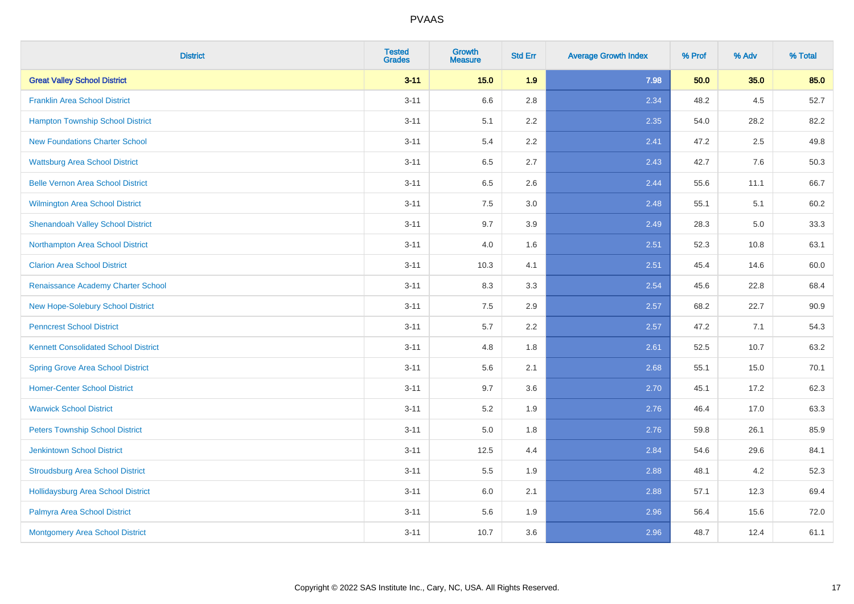| <b>District</b>                             | <b>Tested</b><br><b>Grades</b> | <b>Growth</b><br><b>Measure</b> | <b>Std Err</b> | <b>Average Growth Index</b> | % Prof | % Adv | % Total |
|---------------------------------------------|--------------------------------|---------------------------------|----------------|-----------------------------|--------|-------|---------|
| <b>Great Valley School District</b>         | $3 - 11$                       | $15.0$                          | 1.9            | 7.98                        | 50.0   | 35.0  | 85.0    |
| <b>Franklin Area School District</b>        | $3 - 11$                       | 6.6                             | 2.8            | 2.34                        | 48.2   | 4.5   | 52.7    |
| <b>Hampton Township School District</b>     | $3 - 11$                       | 5.1                             | 2.2            | 2.35                        | 54.0   | 28.2  | 82.2    |
| <b>New Foundations Charter School</b>       | $3 - 11$                       | 5.4                             | 2.2            | 2.41                        | 47.2   | 2.5   | 49.8    |
| <b>Wattsburg Area School District</b>       | $3 - 11$                       | 6.5                             | 2.7            | 2.43                        | 42.7   | 7.6   | 50.3    |
| <b>Belle Vernon Area School District</b>    | $3 - 11$                       | 6.5                             | 2.6            | 2.44                        | 55.6   | 11.1  | 66.7    |
| Wilmington Area School District             | $3 - 11$                       | $7.5\,$                         | 3.0            | 2.48                        | 55.1   | 5.1   | 60.2    |
| <b>Shenandoah Valley School District</b>    | $3 - 11$                       | 9.7                             | 3.9            | 2.49                        | 28.3   | 5.0   | 33.3    |
| Northampton Area School District            | $3 - 11$                       | 4.0                             | 1.6            | 2.51                        | 52.3   | 10.8  | 63.1    |
| <b>Clarion Area School District</b>         | $3 - 11$                       | 10.3                            | 4.1            | 2.51                        | 45.4   | 14.6  | 60.0    |
| Renaissance Academy Charter School          | $3 - 11$                       | 8.3                             | 3.3            | 2.54                        | 45.6   | 22.8  | 68.4    |
| New Hope-Solebury School District           | $3 - 11$                       | 7.5                             | 2.9            | 2.57                        | 68.2   | 22.7  | 90.9    |
| <b>Penncrest School District</b>            | $3 - 11$                       | 5.7                             | 2.2            | 2.57                        | 47.2   | 7.1   | 54.3    |
| <b>Kennett Consolidated School District</b> | $3 - 11$                       | 4.8                             | 1.8            | 2.61                        | 52.5   | 10.7  | 63.2    |
| <b>Spring Grove Area School District</b>    | $3 - 11$                       | 5.6                             | 2.1            | 2.68                        | 55.1   | 15.0  | 70.1    |
| <b>Homer-Center School District</b>         | $3 - 11$                       | 9.7                             | 3.6            | 2.70                        | 45.1   | 17.2  | 62.3    |
| <b>Warwick School District</b>              | $3 - 11$                       | $5.2\,$                         | 1.9            | 2.76                        | 46.4   | 17.0  | 63.3    |
| <b>Peters Township School District</b>      | $3 - 11$                       | 5.0                             | 1.8            | 2.76                        | 59.8   | 26.1  | 85.9    |
| <b>Jenkintown School District</b>           | $3 - 11$                       | 12.5                            | 4.4            | 2.84                        | 54.6   | 29.6  | 84.1    |
| <b>Stroudsburg Area School District</b>     | $3 - 11$                       | 5.5                             | 1.9            | 2.88                        | 48.1   | 4.2   | 52.3    |
| <b>Hollidaysburg Area School District</b>   | $3 - 11$                       | 6.0                             | 2.1            | 2.88                        | 57.1   | 12.3  | 69.4    |
| Palmyra Area School District                | $3 - 11$                       | 5.6                             | 1.9            | 2.96                        | 56.4   | 15.6  | 72.0    |
| Montgomery Area School District             | $3 - 11$                       | 10.7                            | 3.6            | 2.96                        | 48.7   | 12.4  | 61.1    |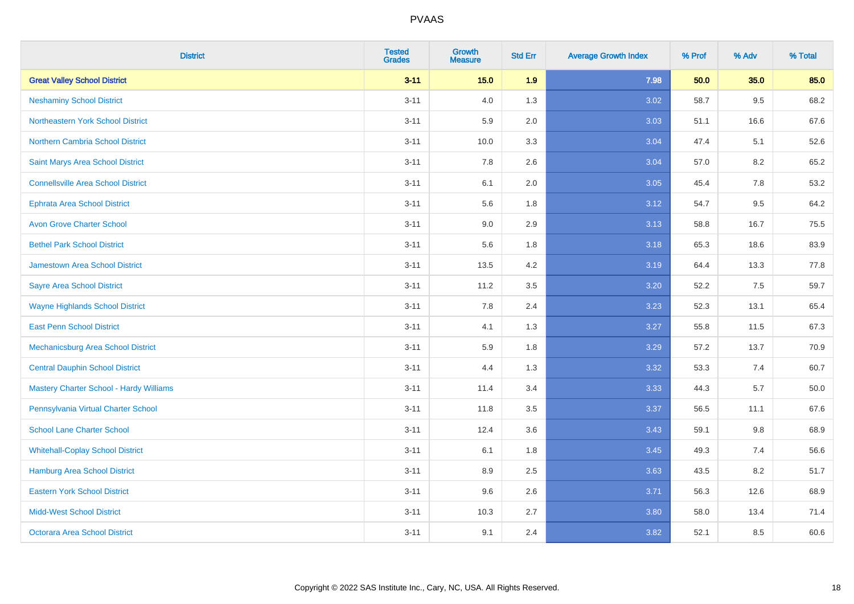| <b>District</b>                                | <b>Tested</b><br><b>Grades</b> | Growth<br><b>Measure</b> | <b>Std Err</b> | <b>Average Growth Index</b> | % Prof | % Adv | % Total |
|------------------------------------------------|--------------------------------|--------------------------|----------------|-----------------------------|--------|-------|---------|
| <b>Great Valley School District</b>            | $3 - 11$                       | 15.0                     | 1.9            | 7.98                        | 50.0   | 35.0  | 85.0    |
| <b>Neshaminy School District</b>               | $3 - 11$                       | 4.0                      | 1.3            | 3.02                        | 58.7   | 9.5   | 68.2    |
| Northeastern York School District              | $3 - 11$                       | 5.9                      | 2.0            | 3.03                        | 51.1   | 16.6  | 67.6    |
| Northern Cambria School District               | $3 - 11$                       | 10.0                     | 3.3            | 3.04                        | 47.4   | 5.1   | 52.6    |
| Saint Marys Area School District               | $3 - 11$                       | 7.8                      | 2.6            | 3.04                        | 57.0   | 8.2   | 65.2    |
| <b>Connellsville Area School District</b>      | $3 - 11$                       | 6.1                      | 2.0            | 3.05                        | 45.4   | 7.8   | 53.2    |
| <b>Ephrata Area School District</b>            | $3 - 11$                       | 5.6                      | 1.8            | 3.12                        | 54.7   | 9.5   | 64.2    |
| <b>Avon Grove Charter School</b>               | $3 - 11$                       | 9.0                      | 2.9            | 3.13                        | 58.8   | 16.7  | 75.5    |
| <b>Bethel Park School District</b>             | $3 - 11$                       | 5.6                      | 1.8            | 3.18                        | 65.3   | 18.6  | 83.9    |
| <b>Jamestown Area School District</b>          | $3 - 11$                       | 13.5                     | 4.2            | 3.19                        | 64.4   | 13.3  | 77.8    |
| <b>Sayre Area School District</b>              | $3 - 11$                       | 11.2                     | 3.5            | 3.20                        | 52.2   | 7.5   | 59.7    |
| <b>Wayne Highlands School District</b>         | $3 - 11$                       | 7.8                      | 2.4            | 3.23                        | 52.3   | 13.1  | 65.4    |
| <b>East Penn School District</b>               | $3 - 11$                       | 4.1                      | 1.3            | 3.27                        | 55.8   | 11.5  | 67.3    |
| Mechanicsburg Area School District             | $3 - 11$                       | 5.9                      | 1.8            | 3.29                        | 57.2   | 13.7  | 70.9    |
| <b>Central Dauphin School District</b>         | $3 - 11$                       | 4.4                      | 1.3            | 3.32                        | 53.3   | 7.4   | 60.7    |
| <b>Mastery Charter School - Hardy Williams</b> | $3 - 11$                       | 11.4                     | 3.4            | 3.33                        | 44.3   | 5.7   | 50.0    |
| Pennsylvania Virtual Charter School            | $3 - 11$                       | 11.8                     | 3.5            | 3.37                        | 56.5   | 11.1  | 67.6    |
| <b>School Lane Charter School</b>              | $3 - 11$                       | 12.4                     | 3.6            | 3.43                        | 59.1   | 9.8   | 68.9    |
| <b>Whitehall-Coplay School District</b>        | $3 - 11$                       | 6.1                      | 1.8            | 3.45                        | 49.3   | 7.4   | 56.6    |
| Hamburg Area School District                   | $3 - 11$                       | 8.9                      | 2.5            | 3.63                        | 43.5   | 8.2   | 51.7    |
| <b>Eastern York School District</b>            | $3 - 11$                       | 9.6                      | 2.6            | 3.71                        | 56.3   | 12.6  | 68.9    |
| <b>Midd-West School District</b>               | $3 - 11$                       | 10.3                     | 2.7            | 3.80                        | 58.0   | 13.4  | 71.4    |
| <b>Octorara Area School District</b>           | $3 - 11$                       | 9.1                      | 2.4            | 3.82                        | 52.1   | 8.5   | 60.6    |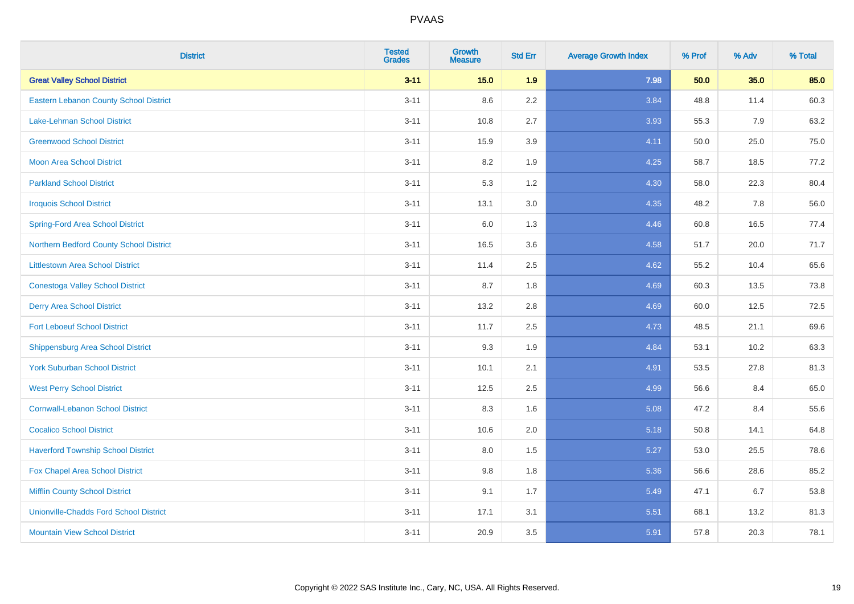| <b>District</b>                               | <b>Tested</b><br><b>Grades</b> | <b>Growth</b><br><b>Measure</b> | <b>Std Err</b> | <b>Average Growth Index</b> | % Prof | % Adv | % Total |
|-----------------------------------------------|--------------------------------|---------------------------------|----------------|-----------------------------|--------|-------|---------|
| <b>Great Valley School District</b>           | $3 - 11$                       | 15.0                            | 1.9            | 7.98                        | 50.0   | 35.0  | 85.0    |
| Eastern Lebanon County School District        | $3 - 11$                       | 8.6                             | 2.2            | 3.84                        | 48.8   | 11.4  | 60.3    |
| Lake-Lehman School District                   | $3 - 11$                       | 10.8                            | 2.7            | 3.93                        | 55.3   | 7.9   | 63.2    |
| <b>Greenwood School District</b>              | $3 - 11$                       | 15.9                            | 3.9            | 4.11                        | 50.0   | 25.0  | 75.0    |
| <b>Moon Area School District</b>              | $3 - 11$                       | 8.2                             | 1.9            | 4.25                        | 58.7   | 18.5  | 77.2    |
| <b>Parkland School District</b>               | $3 - 11$                       | 5.3                             | 1.2            | 4.30                        | 58.0   | 22.3  | 80.4    |
| <b>Iroquois School District</b>               | $3 - 11$                       | 13.1                            | 3.0            | 4.35                        | 48.2   | 7.8   | 56.0    |
| <b>Spring-Ford Area School District</b>       | $3 - 11$                       | 6.0                             | 1.3            | 4.46                        | 60.8   | 16.5  | 77.4    |
| Northern Bedford County School District       | $3 - 11$                       | 16.5                            | 3.6            | 4.58                        | 51.7   | 20.0  | 71.7    |
| <b>Littlestown Area School District</b>       | $3 - 11$                       | 11.4                            | 2.5            | 4.62                        | 55.2   | 10.4  | 65.6    |
| <b>Conestoga Valley School District</b>       | $3 - 11$                       | 8.7                             | 1.8            | 4.69                        | 60.3   | 13.5  | 73.8    |
| <b>Derry Area School District</b>             | $3 - 11$                       | 13.2                            | 2.8            | 4.69                        | 60.0   | 12.5  | 72.5    |
| <b>Fort Leboeuf School District</b>           | $3 - 11$                       | 11.7                            | 2.5            | 4.73                        | 48.5   | 21.1  | 69.6    |
| <b>Shippensburg Area School District</b>      | $3 - 11$                       | 9.3                             | 1.9            | 4.84                        | 53.1   | 10.2  | 63.3    |
| <b>York Suburban School District</b>          | $3 - 11$                       | 10.1                            | 2.1            | 4.91                        | 53.5   | 27.8  | 81.3    |
| <b>West Perry School District</b>             | $3 - 11$                       | 12.5                            | 2.5            | 4.99                        | 56.6   | 8.4   | 65.0    |
| <b>Cornwall-Lebanon School District</b>       | $3 - 11$                       | 8.3                             | 1.6            | 5.08                        | 47.2   | 8.4   | 55.6    |
| <b>Cocalico School District</b>               | $3 - 11$                       | 10.6                            | 2.0            | 5.18                        | 50.8   | 14.1  | 64.8    |
| <b>Haverford Township School District</b>     | $3 - 11$                       | 8.0                             | 1.5            | 5.27                        | 53.0   | 25.5  | 78.6    |
| Fox Chapel Area School District               | $3 - 11$                       | 9.8                             | 1.8            | 5.36                        | 56.6   | 28.6  | 85.2    |
| <b>Mifflin County School District</b>         | $3 - 11$                       | 9.1                             | 1.7            | 5.49                        | 47.1   | 6.7   | 53.8    |
| <b>Unionville-Chadds Ford School District</b> | $3 - 11$                       | 17.1                            | 3.1            | 5.51                        | 68.1   | 13.2  | 81.3    |
| <b>Mountain View School District</b>          | $3 - 11$                       | 20.9                            | 3.5            | 5.91                        | 57.8   | 20.3  | 78.1    |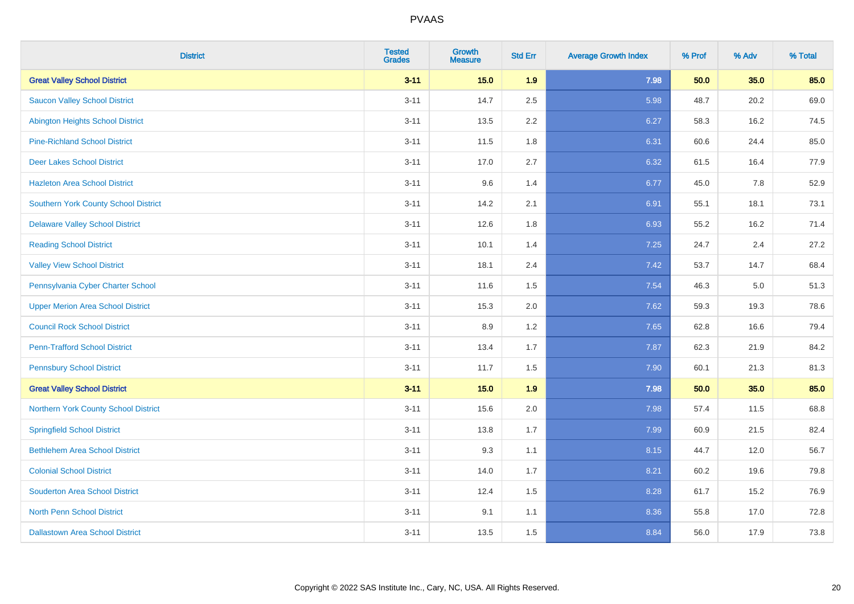| <b>District</b>                             | <b>Tested</b><br><b>Grades</b> | <b>Growth</b><br><b>Measure</b> | <b>Std Err</b> | <b>Average Growth Index</b> | % Prof | % Adv | % Total |
|---------------------------------------------|--------------------------------|---------------------------------|----------------|-----------------------------|--------|-------|---------|
| <b>Great Valley School District</b>         | $3 - 11$                       | 15.0                            | 1.9            | 7.98                        | 50.0   | 35.0  | 85.0    |
| <b>Saucon Valley School District</b>        | $3 - 11$                       | 14.7                            | 2.5            | 5.98                        | 48.7   | 20.2  | 69.0    |
| <b>Abington Heights School District</b>     | $3 - 11$                       | 13.5                            | 2.2            | 6.27                        | 58.3   | 16.2  | 74.5    |
| <b>Pine-Richland School District</b>        | $3 - 11$                       | 11.5                            | 1.8            | 6.31                        | 60.6   | 24.4  | 85.0    |
| <b>Deer Lakes School District</b>           | $3 - 11$                       | 17.0                            | 2.7            | 6.32                        | 61.5   | 16.4  | 77.9    |
| <b>Hazleton Area School District</b>        | $3 - 11$                       | 9.6                             | 1.4            | 6.77                        | 45.0   | 7.8   | 52.9    |
| <b>Southern York County School District</b> | $3 - 11$                       | 14.2                            | 2.1            | 6.91                        | 55.1   | 18.1  | 73.1    |
| <b>Delaware Valley School District</b>      | $3 - 11$                       | 12.6                            | 1.8            | 6.93                        | 55.2   | 16.2  | 71.4    |
| <b>Reading School District</b>              | $3 - 11$                       | 10.1                            | 1.4            | 7.25                        | 24.7   | 2.4   | 27.2    |
| <b>Valley View School District</b>          | $3 - 11$                       | 18.1                            | 2.4            | 7.42                        | 53.7   | 14.7  | 68.4    |
| Pennsylvania Cyber Charter School           | $3 - 11$                       | 11.6                            | 1.5            | 7.54                        | 46.3   | 5.0   | 51.3    |
| <b>Upper Merion Area School District</b>    | $3 - 11$                       | 15.3                            | 2.0            | 7.62                        | 59.3   | 19.3  | 78.6    |
| <b>Council Rock School District</b>         | $3 - 11$                       | 8.9                             | 1.2            | 7.65                        | 62.8   | 16.6  | 79.4    |
| <b>Penn-Trafford School District</b>        | $3 - 11$                       | 13.4                            | 1.7            | 7.87                        | 62.3   | 21.9  | 84.2    |
| <b>Pennsbury School District</b>            | $3 - 11$                       | 11.7                            | 1.5            | 7.90                        | 60.1   | 21.3  | 81.3    |
| <b>Great Valley School District</b>         | $3 - 11$                       | 15.0                            | 1.9            | 7.98                        | 50.0   | 35.0  | 85.0    |
| Northern York County School District        | $3 - 11$                       | 15.6                            | 2.0            | 7.98                        | 57.4   | 11.5  | 68.8    |
| <b>Springfield School District</b>          | $3 - 11$                       | 13.8                            | 1.7            | 7.99                        | 60.9   | 21.5  | 82.4    |
| <b>Bethlehem Area School District</b>       | $3 - 11$                       | 9.3                             | 1.1            | 8.15                        | 44.7   | 12.0  | 56.7    |
| <b>Colonial School District</b>             | $3 - 11$                       | 14.0                            | 1.7            | 8.21                        | 60.2   | 19.6  | 79.8    |
| <b>Souderton Area School District</b>       | $3 - 11$                       | 12.4                            | 1.5            | 8.28                        | 61.7   | 15.2  | 76.9    |
| North Penn School District                  | $3 - 11$                       | 9.1                             | 1.1            | 8.36                        | 55.8   | 17.0  | 72.8    |
| <b>Dallastown Area School District</b>      | $3 - 11$                       | 13.5                            | 1.5            | 8.84                        | 56.0   | 17.9  | 73.8    |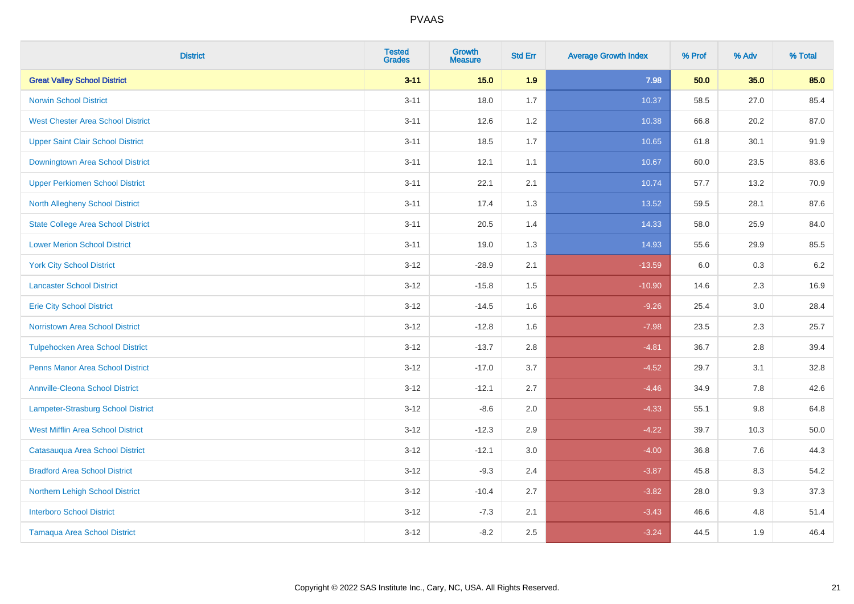| <b>District</b>                           | <b>Tested</b><br><b>Grades</b> | Growth<br><b>Measure</b> | <b>Std Err</b> | <b>Average Growth Index</b> | % Prof | % Adv   | % Total |
|-------------------------------------------|--------------------------------|--------------------------|----------------|-----------------------------|--------|---------|---------|
| <b>Great Valley School District</b>       | $3 - 11$                       | 15.0                     | 1.9            | 7.98                        | 50.0   | 35.0    | 85.0    |
| <b>Norwin School District</b>             | $3 - 11$                       | 18.0                     | 1.7            | 10.37                       | 58.5   | 27.0    | 85.4    |
| <b>West Chester Area School District</b>  | $3 - 11$                       | 12.6                     | 1.2            | 10.38                       | 66.8   | 20.2    | 87.0    |
| <b>Upper Saint Clair School District</b>  | $3 - 11$                       | 18.5                     | 1.7            | 10.65                       | 61.8   | 30.1    | 91.9    |
| Downingtown Area School District          | $3 - 11$                       | 12.1                     | 1.1            | 10.67                       | 60.0   | 23.5    | 83.6    |
| <b>Upper Perkiomen School District</b>    | $3 - 11$                       | 22.1                     | 2.1            | 10.74                       | 57.7   | 13.2    | 70.9    |
| <b>North Allegheny School District</b>    | $3 - 11$                       | 17.4                     | 1.3            | 13.52                       | 59.5   | 28.1    | 87.6    |
| <b>State College Area School District</b> | $3 - 11$                       | 20.5                     | 1.4            | 14.33                       | 58.0   | 25.9    | 84.0    |
| <b>Lower Merion School District</b>       | $3 - 11$                       | 19.0                     | 1.3            | 14.93                       | 55.6   | 29.9    | 85.5    |
| <b>York City School District</b>          | $3 - 12$                       | $-28.9$                  | 2.1            | $-13.59$                    | 6.0    | 0.3     | $6.2\,$ |
| <b>Lancaster School District</b>          | $3 - 12$                       | $-15.8$                  | 1.5            | $-10.90$                    | 14.6   | 2.3     | 16.9    |
| <b>Erie City School District</b>          | $3 - 12$                       | $-14.5$                  | 1.6            | $-9.26$                     | 25.4   | 3.0     | 28.4    |
| Norristown Area School District           | $3 - 12$                       | $-12.8$                  | 1.6            | $-7.98$                     | 23.5   | 2.3     | 25.7    |
| <b>Tulpehocken Area School District</b>   | $3 - 12$                       | $-13.7$                  | 2.8            | $-4.81$                     | 36.7   | 2.8     | 39.4    |
| <b>Penns Manor Area School District</b>   | $3 - 12$                       | $-17.0$                  | 3.7            | $-4.52$                     | 29.7   | 3.1     | 32.8    |
| <b>Annville-Cleona School District</b>    | $3 - 12$                       | $-12.1$                  | 2.7            | $-4.46$                     | 34.9   | $7.8\,$ | 42.6    |
| Lampeter-Strasburg School District        | $3 - 12$                       | $-8.6$                   | 2.0            | $-4.33$                     | 55.1   | 9.8     | 64.8    |
| <b>West Mifflin Area School District</b>  | $3 - 12$                       | $-12.3$                  | 2.9            | $-4.22$                     | 39.7   | 10.3    | 50.0    |
| Catasauqua Area School District           | $3 - 12$                       | $-12.1$                  | 3.0            | $-4.00$                     | 36.8   | 7.6     | 44.3    |
| <b>Bradford Area School District</b>      | $3 - 12$                       | $-9.3$                   | 2.4            | $-3.87$                     | 45.8   | 8.3     | 54.2    |
| Northern Lehigh School District           | $3 - 12$                       | $-10.4$                  | 2.7            | $-3.82$                     | 28.0   | 9.3     | 37.3    |
| <b>Interboro School District</b>          | $3 - 12$                       | $-7.3$                   | 2.1            | $-3.43$                     | 46.6   | 4.8     | 51.4    |
| <b>Tamaqua Area School District</b>       | $3 - 12$                       | $-8.2$                   | 2.5            | $-3.24$                     | 44.5   | 1.9     | 46.4    |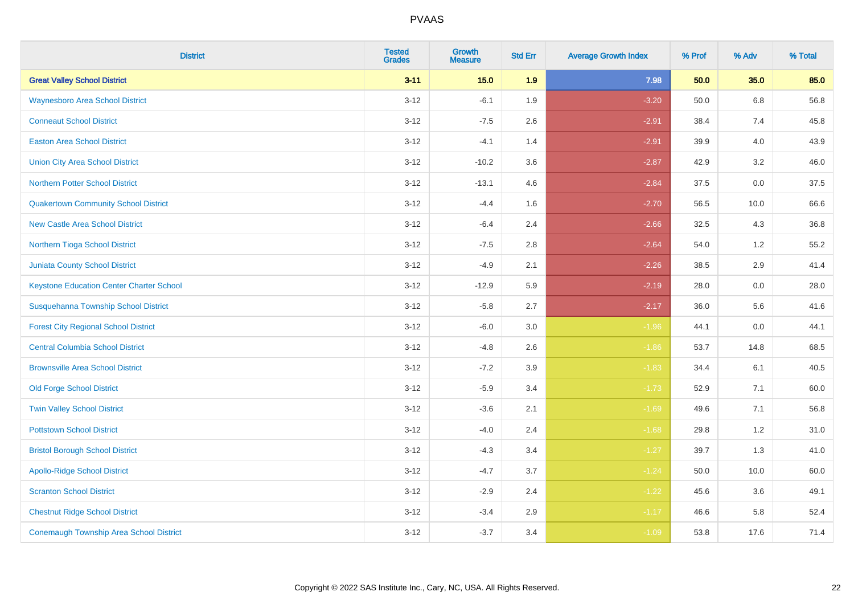| <b>District</b>                                 | <b>Tested</b><br><b>Grades</b> | <b>Growth</b><br><b>Measure</b> | <b>Std Err</b> | <b>Average Growth Index</b> | % Prof | % Adv   | % Total |
|-------------------------------------------------|--------------------------------|---------------------------------|----------------|-----------------------------|--------|---------|---------|
| <b>Great Valley School District</b>             | $3 - 11$                       | 15.0                            | 1.9            | 7.98                        | 50.0   | 35.0    | 85.0    |
| <b>Waynesboro Area School District</b>          | $3 - 12$                       | $-6.1$                          | 1.9            | $-3.20$                     | 50.0   | $6.8\,$ | 56.8    |
| <b>Conneaut School District</b>                 | $3 - 12$                       | $-7.5$                          | 2.6            | $-2.91$                     | 38.4   | 7.4     | 45.8    |
| <b>Easton Area School District</b>              | $3 - 12$                       | $-4.1$                          | 1.4            | $-2.91$                     | 39.9   | 4.0     | 43.9    |
| <b>Union City Area School District</b>          | $3-12$                         | $-10.2$                         | 3.6            | $-2.87$                     | 42.9   | 3.2     | 46.0    |
| <b>Northern Potter School District</b>          | $3 - 12$                       | $-13.1$                         | 4.6            | $-2.84$                     | 37.5   | 0.0     | 37.5    |
| <b>Quakertown Community School District</b>     | $3-12$                         | $-4.4$                          | 1.6            | $-2.70$                     | 56.5   | 10.0    | 66.6    |
| <b>New Castle Area School District</b>          | $3 - 12$                       | $-6.4$                          | 2.4            | $-2.66$                     | 32.5   | 4.3     | 36.8    |
| Northern Tioga School District                  | $3 - 12$                       | $-7.5$                          | 2.8            | $-2.64$                     | 54.0   | 1.2     | 55.2    |
| <b>Juniata County School District</b>           | $3 - 12$                       | $-4.9$                          | 2.1            | $-2.26$                     | 38.5   | 2.9     | 41.4    |
| <b>Keystone Education Center Charter School</b> | $3 - 12$                       | $-12.9$                         | 5.9            | $-2.19$                     | 28.0   | 0.0     | 28.0    |
| Susquehanna Township School District            | $3 - 12$                       | $-5.8$                          | 2.7            | $-2.17$                     | 36.0   | 5.6     | 41.6    |
| <b>Forest City Regional School District</b>     | $3 - 12$                       | $-6.0$                          | $3.0\,$        | $-1.96$                     | 44.1   | $0.0\,$ | 44.1    |
| <b>Central Columbia School District</b>         | $3-12$                         | $-4.8$                          | 2.6            | $-1.86$                     | 53.7   | 14.8    | 68.5    |
| <b>Brownsville Area School District</b>         | $3 - 12$                       | $-7.2$                          | 3.9            | $-1.83$                     | 34.4   | 6.1     | 40.5    |
| <b>Old Forge School District</b>                | $3-12$                         | $-5.9$                          | 3.4            | $-1.73$                     | 52.9   | 7.1     | 60.0    |
| <b>Twin Valley School District</b>              | $3-12$                         | $-3.6$                          | 2.1            | $-1.69$                     | 49.6   | 7.1     | 56.8    |
| <b>Pottstown School District</b>                | $3 - 12$                       | $-4.0$                          | 2.4            | $-1.68$                     | 29.8   | 1.2     | 31.0    |
| <b>Bristol Borough School District</b>          | $3 - 12$                       | $-4.3$                          | 3.4            | $-1.27$                     | 39.7   | 1.3     | 41.0    |
| <b>Apollo-Ridge School District</b>             | $3-12$                         | $-4.7$                          | 3.7            | $-1.24$                     | 50.0   | 10.0    | 60.0    |
| <b>Scranton School District</b>                 | $3-12$                         | $-2.9$                          | 2.4            | $-1.22$                     | 45.6   | 3.6     | 49.1    |
| <b>Chestnut Ridge School District</b>           | $3 - 12$                       | $-3.4$                          | 2.9            | $-1.17$                     | 46.6   | 5.8     | 52.4    |
| <b>Conemaugh Township Area School District</b>  | $3-12$                         | $-3.7$                          | 3.4            | $-1.09$                     | 53.8   | 17.6    | 71.4    |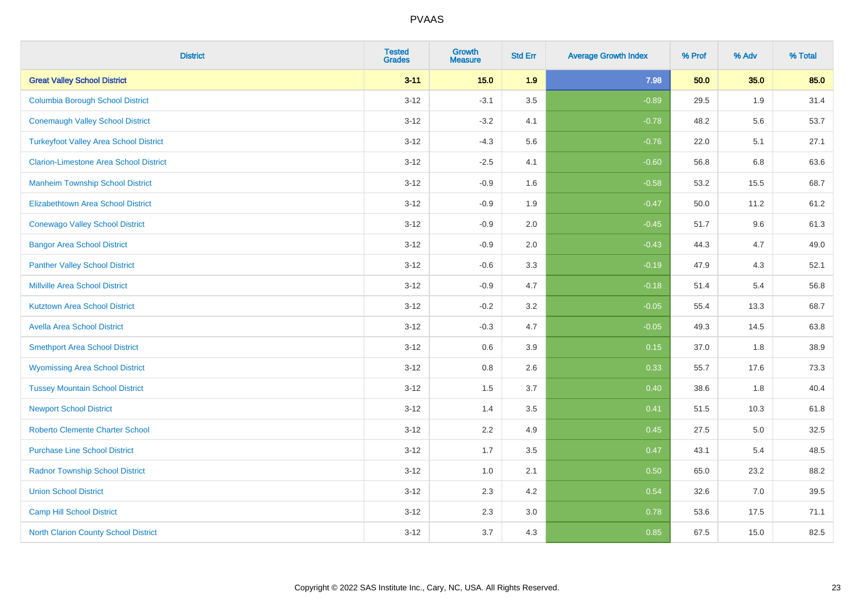| <b>District</b>                               | <b>Tested</b><br><b>Grades</b> | <b>Growth</b><br><b>Measure</b> | <b>Std Err</b> | <b>Average Growth Index</b> | % Prof | % Adv | % Total |
|-----------------------------------------------|--------------------------------|---------------------------------|----------------|-----------------------------|--------|-------|---------|
| <b>Great Valley School District</b>           | $3 - 11$                       | 15.0                            | 1.9            | 7.98                        | 50.0   | 35.0  | 85.0    |
| <b>Columbia Borough School District</b>       | $3 - 12$                       | $-3.1$                          | 3.5            | $-0.89$                     | 29.5   | 1.9   | 31.4    |
| <b>Conemaugh Valley School District</b>       | $3 - 12$                       | $-3.2$                          | 4.1            | $-0.78$                     | 48.2   | 5.6   | 53.7    |
| <b>Turkeyfoot Valley Area School District</b> | $3-12$                         | $-4.3$                          | 5.6            | $-0.76$                     | 22.0   | 5.1   | 27.1    |
| <b>Clarion-Limestone Area School District</b> | $3 - 12$                       | $-2.5$                          | 4.1            | $-0.60$                     | 56.8   | 6.8   | 63.6    |
| <b>Manheim Township School District</b>       | $3 - 12$                       | $-0.9$                          | 1.6            | $-0.58$                     | 53.2   | 15.5  | 68.7    |
| Elizabethtown Area School District            | $3 - 12$                       | $-0.9$                          | 1.9            | $-0.47$                     | 50.0   | 11.2  | 61.2    |
| <b>Conewago Valley School District</b>        | $3 - 12$                       | $-0.9$                          | 2.0            | $-0.45$                     | 51.7   | 9.6   | 61.3    |
| <b>Bangor Area School District</b>            | $3-12$                         | $-0.9$                          | 2.0            | $-0.43$                     | 44.3   | 4.7   | 49.0    |
| <b>Panther Valley School District</b>         | $3 - 12$                       | $-0.6$                          | 3.3            | $-0.19$                     | 47.9   | 4.3   | 52.1    |
| <b>Millville Area School District</b>         | $3 - 12$                       | $-0.9$                          | 4.7            | $-0.18$                     | 51.4   | 5.4   | 56.8    |
| <b>Kutztown Area School District</b>          | $3-12$                         | $-0.2$                          | 3.2            | $-0.05$                     | 55.4   | 13.3  | 68.7    |
| <b>Avella Area School District</b>            | $3 - 12$                       | $-0.3$                          | 4.7            | $-0.05$                     | 49.3   | 14.5  | 63.8    |
| <b>Smethport Area School District</b>         | $3 - 12$                       | 0.6                             | 3.9            | 0.15                        | 37.0   | 1.8   | 38.9    |
| <b>Wyomissing Area School District</b>        | $3-12$                         | 0.8                             | 2.6            | 0.33                        | 55.7   | 17.6  | 73.3    |
| <b>Tussey Mountain School District</b>        | $3 - 12$                       | 1.5                             | 3.7            | 0.40                        | 38.6   | 1.8   | 40.4    |
| <b>Newport School District</b>                | $3 - 12$                       | 1.4                             | 3.5            | 0.41                        | 51.5   | 10.3  | 61.8    |
| <b>Roberto Clemente Charter School</b>        | $3 - 12$                       | 2.2                             | 4.9            | 0.45                        | 27.5   | 5.0   | 32.5    |
| <b>Purchase Line School District</b>          | $3-12$                         | 1.7                             | 3.5            | 0.47                        | 43.1   | 5.4   | 48.5    |
| <b>Radnor Township School District</b>        | $3 - 12$                       | 1.0                             | 2.1            | 0.50                        | 65.0   | 23.2  | 88.2    |
| <b>Union School District</b>                  | $3 - 12$                       | 2.3                             | 4.2            | 0.54                        | 32.6   | 7.0   | 39.5    |
| <b>Camp Hill School District</b>              | $3 - 12$                       | 2.3                             | 3.0            | 0.78                        | 53.6   | 17.5  | 71.1    |
| North Clarion County School District          | $3 - 12$                       | 3.7                             | 4.3            | 0.85                        | 67.5   | 15.0  | 82.5    |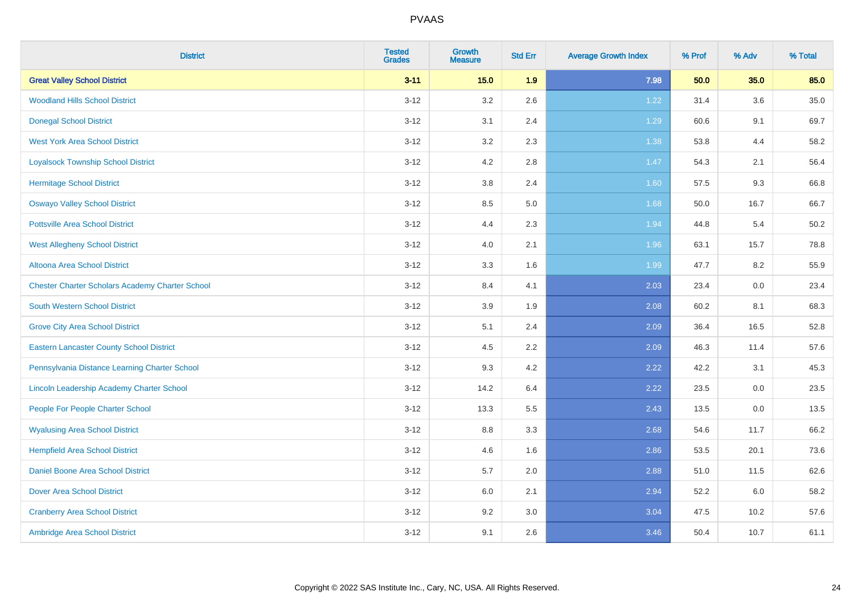| <b>District</b>                                        | <b>Tested</b><br><b>Grades</b> | Growth<br><b>Measure</b> | <b>Std Err</b> | <b>Average Growth Index</b> | % Prof | % Adv | % Total |
|--------------------------------------------------------|--------------------------------|--------------------------|----------------|-----------------------------|--------|-------|---------|
| <b>Great Valley School District</b>                    | $3 - 11$                       | 15.0                     | 1.9            | 7.98                        | 50.0   | 35.0  | 85.0    |
| <b>Woodland Hills School District</b>                  | $3 - 12$                       | 3.2                      | 2.6            | 1.22                        | 31.4   | 3.6   | 35.0    |
| <b>Donegal School District</b>                         | $3 - 12$                       | 3.1                      | 2.4            | 1.29                        | 60.6   | 9.1   | 69.7    |
| <b>West York Area School District</b>                  | $3 - 12$                       | $3.2\,$                  | 2.3            | 1.38                        | 53.8   | 4.4   | 58.2    |
| <b>Loyalsock Township School District</b>              | $3 - 12$                       | 4.2                      | 2.8            | 1.47                        | 54.3   | 2.1   | 56.4    |
| <b>Hermitage School District</b>                       | $3 - 12$                       | $3.8\,$                  | 2.4            | 1.60                        | 57.5   | 9.3   | 66.8    |
| <b>Oswayo Valley School District</b>                   | $3 - 12$                       | 8.5                      | 5.0            | 1.68                        | 50.0   | 16.7  | 66.7    |
| <b>Pottsville Area School District</b>                 | $3 - 12$                       | 4.4                      | 2.3            | 1.94                        | 44.8   | 5.4   | 50.2    |
| <b>West Allegheny School District</b>                  | $3 - 12$                       | 4.0                      | 2.1            | 1.96                        | 63.1   | 15.7  | 78.8    |
| <b>Altoona Area School District</b>                    | $3 - 12$                       | $3.3\,$                  | 1.6            | 1.99                        | 47.7   | 8.2   | 55.9    |
| <b>Chester Charter Scholars Academy Charter School</b> | $3 - 12$                       | 8.4                      | 4.1            | 2.03                        | 23.4   | 0.0   | 23.4    |
| <b>South Western School District</b>                   | $3 - 12$                       | 3.9                      | 1.9            | 2.08                        | 60.2   | 8.1   | 68.3    |
| <b>Grove City Area School District</b>                 | $3 - 12$                       | 5.1                      | 2.4            | 2.09                        | 36.4   | 16.5  | 52.8    |
| <b>Eastern Lancaster County School District</b>        | $3 - 12$                       | 4.5                      | 2.2            | 2.09                        | 46.3   | 11.4  | 57.6    |
| Pennsylvania Distance Learning Charter School          | $3 - 12$                       | 9.3                      | 4.2            | 2.22                        | 42.2   | 3.1   | 45.3    |
| Lincoln Leadership Academy Charter School              | $3 - 12$                       | 14.2                     | 6.4            | 2.22                        | 23.5   | 0.0   | 23.5    |
| People For People Charter School                       | $3 - 12$                       | 13.3                     | 5.5            | 2.43                        | 13.5   | 0.0   | 13.5    |
| <b>Wyalusing Area School District</b>                  | $3 - 12$                       | 8.8                      | 3.3            | 2.68                        | 54.6   | 11.7  | 66.2    |
| <b>Hempfield Area School District</b>                  | $3 - 12$                       | 4.6                      | 1.6            | 2.86                        | 53.5   | 20.1  | 73.6    |
| <b>Daniel Boone Area School District</b>               | $3 - 12$                       | 5.7                      | 2.0            | 2.88                        | 51.0   | 11.5  | 62.6    |
| <b>Dover Area School District</b>                      | $3 - 12$                       | 6.0                      | 2.1            | 2.94                        | 52.2   | 6.0   | 58.2    |
| <b>Cranberry Area School District</b>                  | $3 - 12$                       | 9.2                      | 3.0            | 3.04                        | 47.5   | 10.2  | 57.6    |
| Ambridge Area School District                          | $3 - 12$                       | 9.1                      | 2.6            | 3.46                        | 50.4   | 10.7  | 61.1    |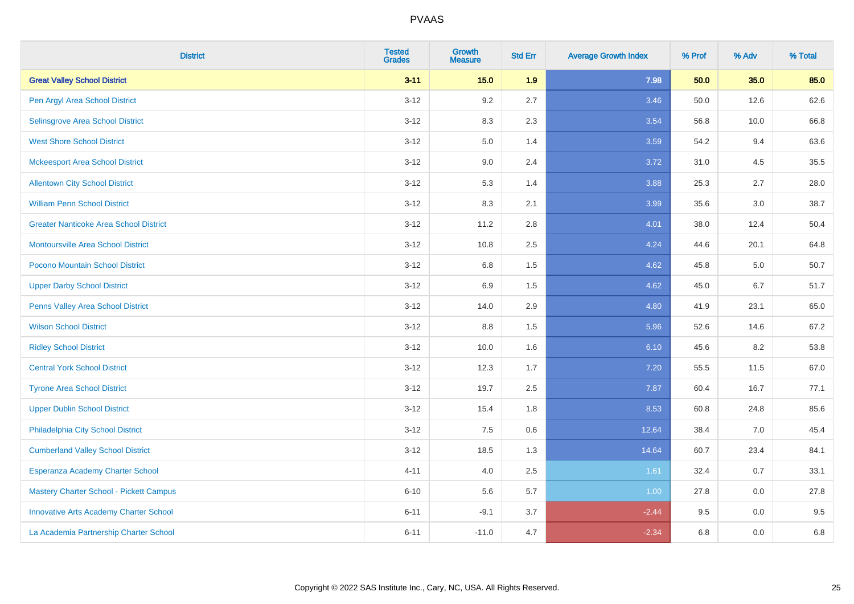| <b>District</b>                               | <b>Tested</b><br><b>Grades</b> | <b>Growth</b><br><b>Measure</b> | <b>Std Err</b> | <b>Average Growth Index</b> | % Prof | % Adv | % Total |
|-----------------------------------------------|--------------------------------|---------------------------------|----------------|-----------------------------|--------|-------|---------|
| <b>Great Valley School District</b>           | $3 - 11$                       | 15.0                            | 1.9            | 7.98                        | 50.0   | 35.0  | 85.0    |
| Pen Argyl Area School District                | $3 - 12$                       | 9.2                             | 2.7            | 3.46                        | 50.0   | 12.6  | 62.6    |
| Selinsgrove Area School District              | $3 - 12$                       | 8.3                             | 2.3            | 3.54                        | 56.8   | 10.0  | 66.8    |
| <b>West Shore School District</b>             | $3 - 12$                       | 5.0                             | 1.4            | 3.59                        | 54.2   | 9.4   | 63.6    |
| <b>Mckeesport Area School District</b>        | $3 - 12$                       | 9.0                             | 2.4            | 3.72                        | 31.0   | 4.5   | 35.5    |
| <b>Allentown City School District</b>         | $3 - 12$                       | 5.3                             | 1.4            | 3.88                        | 25.3   | 2.7   | 28.0    |
| <b>William Penn School District</b>           | $3 - 12$                       | 8.3                             | 2.1            | 3.99                        | 35.6   | 3.0   | 38.7    |
| <b>Greater Nanticoke Area School District</b> | $3 - 12$                       | 11.2                            | 2.8            | 4.01                        | 38.0   | 12.4  | 50.4    |
| Montoursville Area School District            | $3 - 12$                       | 10.8                            | 2.5            | 4.24                        | 44.6   | 20.1  | 64.8    |
| Pocono Mountain School District               | $3 - 12$                       | 6.8                             | 1.5            | 4.62                        | 45.8   | 5.0   | 50.7    |
| <b>Upper Darby School District</b>            | $3 - 12$                       | 6.9                             | 1.5            | 4.62                        | 45.0   | 6.7   | 51.7    |
| Penns Valley Area School District             | $3 - 12$                       | 14.0                            | 2.9            | 4.80                        | 41.9   | 23.1  | 65.0    |
| <b>Wilson School District</b>                 | $3 - 12$                       | $8.8\,$                         | 1.5            | 5.96                        | 52.6   | 14.6  | 67.2    |
| <b>Ridley School District</b>                 | $3 - 12$                       | 10.0                            | 1.6            | 6.10                        | 45.6   | 8.2   | 53.8    |
| <b>Central York School District</b>           | $3 - 12$                       | 12.3                            | 1.7            | 7.20                        | 55.5   | 11.5  | 67.0    |
| <b>Tyrone Area School District</b>            | $3 - 12$                       | 19.7                            | 2.5            | 7.87                        | 60.4   | 16.7  | 77.1    |
| <b>Upper Dublin School District</b>           | $3 - 12$                       | 15.4                            | 1.8            | 8.53                        | 60.8   | 24.8  | 85.6    |
| Philadelphia City School District             | $3 - 12$                       | 7.5                             | 0.6            | 12.64                       | 38.4   | 7.0   | 45.4    |
| <b>Cumberland Valley School District</b>      | $3 - 12$                       | 18.5                            | 1.3            | 14.64                       | 60.7   | 23.4  | 84.1    |
| Esperanza Academy Charter School              | $4 - 11$                       | 4.0                             | 2.5            | 1.61                        | 32.4   | 0.7   | 33.1    |
| Mastery Charter School - Pickett Campus       | $6 - 10$                       | 5.6                             | 5.7            | 1.00                        | 27.8   | 0.0   | 27.8    |
| <b>Innovative Arts Academy Charter School</b> | $6 - 11$                       | $-9.1$                          | 3.7            | $-2.44$                     | 9.5    | 0.0   | 9.5     |
| La Academia Partnership Charter School        | $6 - 11$                       | $-11.0$                         | 4.7            | $-2.34$                     | 6.8    | 0.0   | 6.8     |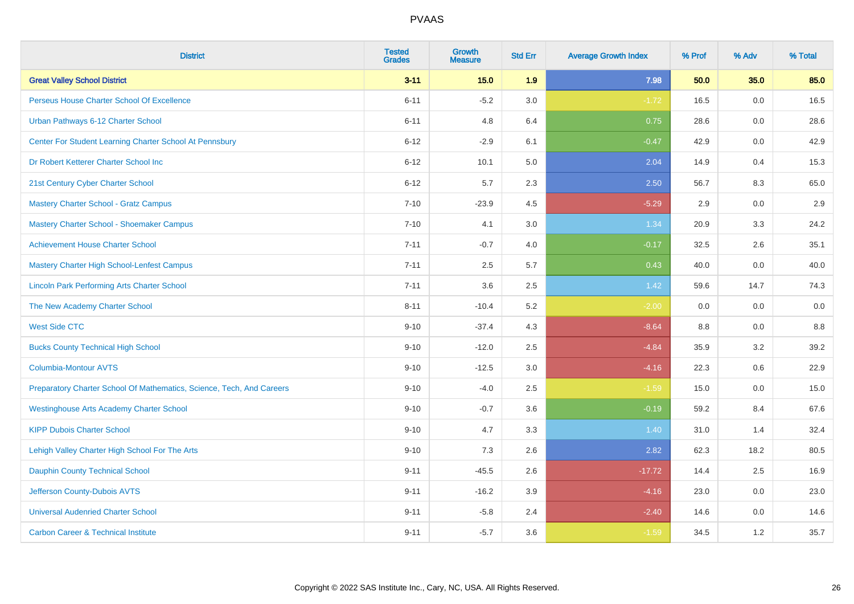| <b>District</b>                                                       | <b>Tested</b><br><b>Grades</b> | Growth<br><b>Measure</b> | <b>Std Err</b> | <b>Average Growth Index</b> | % Prof | % Adv | % Total |
|-----------------------------------------------------------------------|--------------------------------|--------------------------|----------------|-----------------------------|--------|-------|---------|
| <b>Great Valley School District</b>                                   | $3 - 11$                       | 15.0                     | 1.9            | 7.98                        | 50.0   | 35.0  | 85.0    |
| Perseus House Charter School Of Excellence                            | $6 - 11$                       | $-5.2$                   | 3.0            | $-1.72$                     | 16.5   | 0.0   | 16.5    |
| Urban Pathways 6-12 Charter School                                    | $6 - 11$                       | 4.8                      | 6.4            | 0.75                        | 28.6   | 0.0   | 28.6    |
| Center For Student Learning Charter School At Pennsbury               | $6 - 12$                       | $-2.9$                   | 6.1            | $-0.47$                     | 42.9   | 0.0   | 42.9    |
| Dr Robert Ketterer Charter School Inc                                 | $6 - 12$                       | 10.1                     | 5.0            | 2.04                        | 14.9   | 0.4   | 15.3    |
| 21st Century Cyber Charter School                                     | $6 - 12$                       | 5.7                      | 2.3            | 2.50                        | 56.7   | 8.3   | 65.0    |
| Mastery Charter School - Gratz Campus                                 | $7 - 10$                       | $-23.9$                  | 4.5            | $-5.29$                     | 2.9    | 0.0   | 2.9     |
| Mastery Charter School - Shoemaker Campus                             | $7 - 10$                       | 4.1                      | 3.0            | 1.34                        | 20.9   | 3.3   | 24.2    |
| <b>Achievement House Charter School</b>                               | $7 - 11$                       | $-0.7$                   | 4.0            | $-0.17$                     | 32.5   | 2.6   | 35.1    |
| <b>Mastery Charter High School-Lenfest Campus</b>                     | $7 - 11$                       | 2.5                      | 5.7            | 0.43                        | 40.0   | 0.0   | 40.0    |
| <b>Lincoln Park Performing Arts Charter School</b>                    | $7 - 11$                       | 3.6                      | 2.5            | 1.42                        | 59.6   | 14.7  | 74.3    |
| The New Academy Charter School                                        | $8 - 11$                       | $-10.4$                  | 5.2            | $-2.00$                     | 0.0    | 0.0   | 0.0     |
| <b>West Side CTC</b>                                                  | $9 - 10$                       | $-37.4$                  | 4.3            | $-8.64$                     | 8.8    | 0.0   | 8.8     |
| <b>Bucks County Technical High School</b>                             | $9 - 10$                       | $-12.0$                  | 2.5            | $-4.84$                     | 35.9   | 3.2   | 39.2    |
| <b>Columbia-Montour AVTS</b>                                          | $9 - 10$                       | $-12.5$                  | 3.0            | $-4.16$                     | 22.3   | 0.6   | 22.9    |
| Preparatory Charter School Of Mathematics, Science, Tech, And Careers | $9 - 10$                       | $-4.0$                   | 2.5            | $-1.59$                     | 15.0   | 0.0   | 15.0    |
| <b>Westinghouse Arts Academy Charter School</b>                       | $9 - 10$                       | $-0.7$                   | 3.6            | $-0.19$                     | 59.2   | 8.4   | 67.6    |
| <b>KIPP Dubois Charter School</b>                                     | $9 - 10$                       | 4.7                      | 3.3            | 1.40                        | 31.0   | 1.4   | 32.4    |
| Lehigh Valley Charter High School For The Arts                        | $9 - 10$                       | 7.3                      | 2.6            | 2.82                        | 62.3   | 18.2  | 80.5    |
| <b>Dauphin County Technical School</b>                                | $9 - 11$                       | $-45.5$                  | 2.6            | $-17.72$                    | 14.4   | 2.5   | 16.9    |
| Jefferson County-Dubois AVTS                                          | $9 - 11$                       | $-16.2$                  | 3.9            | $-4.16$                     | 23.0   | 0.0   | 23.0    |
| <b>Universal Audenried Charter School</b>                             | $9 - 11$                       | $-5.8$                   | 2.4            | $-2.40$                     | 14.6   | 0.0   | 14.6    |
| <b>Carbon Career &amp; Technical Institute</b>                        | $9 - 11$                       | $-5.7$                   | 3.6            | $-1.59$                     | 34.5   | 1.2   | 35.7    |